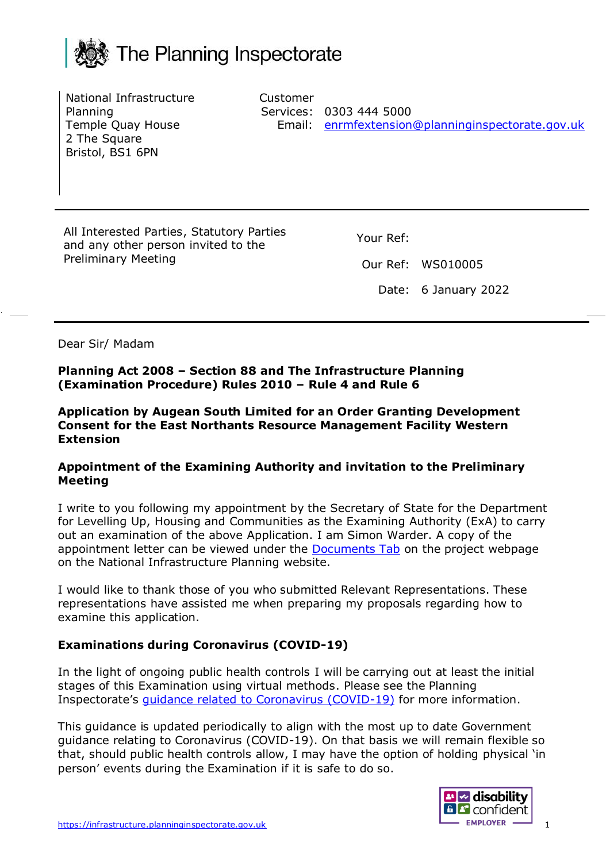

National Infrastructure Planning Temple Quay House 2 The Square Bristol, BS1 6PN

Customer Services: 0303 444 5000 Email: [enrmfextension@planninginspectorate.gov.uk](mailto:enrmfextension@planninginspectorate.gov.uk)

All Interested Parties, Statutory Parties and any other person invited to the Preliminary Meeting

Your Ref:

Our Ref: WS010005

Date: 6 January 2022

Dear Sir/ Madam

**Planning Act 2008 – Section 88 and The Infrastructure Planning (Examination Procedure) Rules 2010 – Rule 4 and Rule 6**

**Application by Augean South Limited for an Order Granting Development Consent for the East Northants Resource Management Facility Western Extension**

#### **Appointment of the Examining Authority and invitation to the Preliminary Meeting**

I write to you following my appointment by the Secretary of State for the Department for Levelling Up, Housing and Communities as the Examining Authority (ExA) to carry out an examination of the above Application. I am Simon Warder. A copy of the appointment letter can be viewed under the **[Documents Tab](https://infrastructure.planninginspectorate.gov.uk/wp-content/ipc/uploads/projects/WS010005/WS010005-000392-Notification%20of%20the%20Appointment%20of%20the%20Examining%20Authority.pdf)** on the project webpage on the National Infrastructure Planning website.

I would like to thank those of you who submitted Relevant Representations. These representations have assisted me when preparing my proposals regarding how to examine this application.

## **Examinations during Coronavirus (COVID-19)**

In the light of ongoing public health controls I will be carrying out at least the initial stages of this Examination using virtual methods. Please see the Planning Inspectorate's guidance [related to Coronavirus \(COVID-19\)](https://www.gov.uk/guidance/coronavirus-covid-19-planning-inspectorate-guidance) for more information.

This guidance is updated periodically to align with the most up to date Government guidance relating to Coronavirus (COVID-19). On that basis we will remain flexible so that, should public health controls allow, I may have the option of holding physical 'in person' events during the Examination if it is safe to do so.

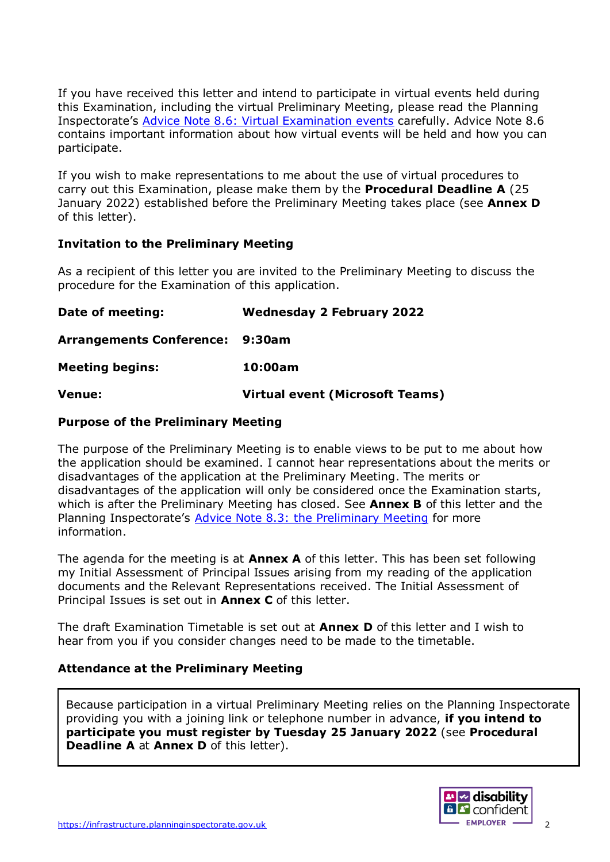If you have received this letter and intend to participate in virtual events held during this Examination, including the virtual Preliminary Meeting, please read the Planning Inspectorate's [Advice Note 8.6: Virtual Examination events](https://infrastructure.planninginspectorate.gov.uk/legislation-and-advice/advice-notes/advice-note-8-6-virtual-examination-events/) carefully. Advice Note 8.6 contains important information about how virtual events will be held and how you can participate.

If you wish to make representations to me about the use of virtual procedures to carry out this Examination, please make them by the **Procedural Deadline A** (25 January 2022) established before the Preliminary Meeting takes place (see **Annex D** of this letter).

### **Invitation to the Preliminary Meeting**

As a recipient of this letter you are invited to the Preliminary Meeting to discuss the procedure for the Examination of this application.

**Date of meeting: Wednesday 2 February 2022 Arrangements Conference: 9:30am Meeting begins: 10:00am Venue: Virtual event (Microsoft Teams)**

### **Purpose of the Preliminary Meeting**

The purpose of the Preliminary Meeting is to enable views to be put to me about how the application should be examined. I cannot hear representations about the merits or disadvantages of the application at the Preliminary Meeting. The merits or disadvantages of the application will only be considered once the Examination starts, which is after the Preliminary Meeting has closed. See **Annex B** of this letter and the Planning Inspectorate's Advice Note 8.3: the [Preliminary Meeting](https://infrastructure.planninginspectorate.gov.uk/legislation-and-advice/advice-notes/advice-note-8-3-influencing-how-an-application-is-examined-the-preliminary-meeting/) for more information.

The agenda for the meeting is at **Annex A** of this letter. This has been set following my Initial Assessment of Principal Issues arising from my reading of the application documents and the Relevant Representations received. The Initial Assessment of Principal Issues is set out in **Annex C** of this letter.

The draft Examination Timetable is set out at **Annex D** of this letter and I wish to hear from you if you consider changes need to be made to the timetable.

### **Attendance at the Preliminary Meeting**

Because participation in a virtual Preliminary Meeting relies on the Planning Inspectorate providing you with a joining link or telephone number in advance, **if you intend to participate you must register by Tuesday 25 January 2022** (see **Procedural Deadline A at Annex D of this letter).** 

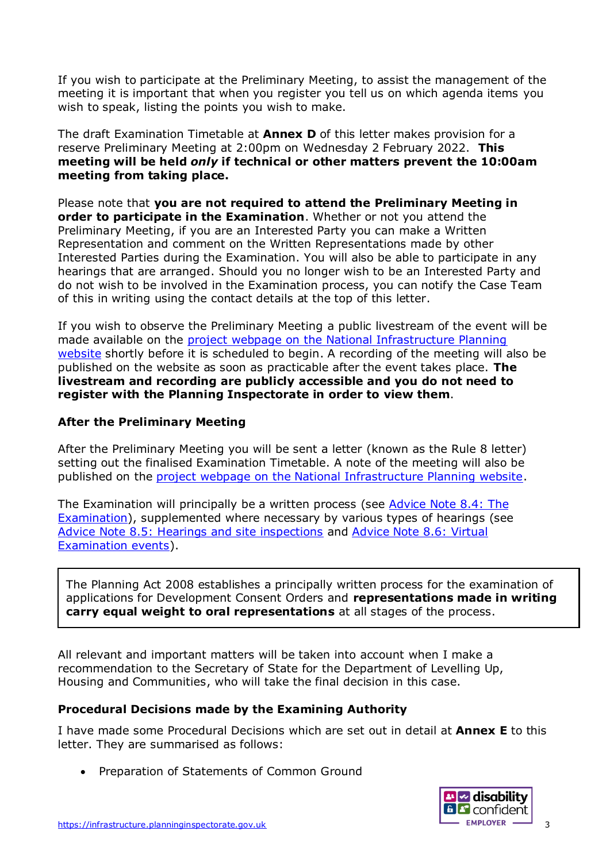If you wish to participate at the Preliminary Meeting, to assist the management of the meeting it is important that when you register you tell us on which agenda items you wish to speak, listing the points you wish to make.

The draft Examination Timetable at **Annex D** of this letter makes provision for a reserve Preliminary Meeting at 2:00pm on Wednesday 2 February 2022. **This meeting will be held** *only* **if technical or other matters prevent the 10:00am meeting from taking place.**

Please note that **you are not required to attend the Preliminary Meeting in order to participate in the Examination**. Whether or not you attend the Preliminary Meeting, if you are an Interested Party you can make a Written Representation and comment on the Written Representations made by other Interested Parties during the Examination. You will also be able to participate in any hearings that are arranged. Should you no longer wish to be an Interested Party and do not wish to be involved in the Examination process, you can notify the Case Team of this in writing using the contact details at the top of this letter.

If you wish to observe the Preliminary Meeting a public livestream of the event will be made available on the [project webpage on the National Infrastructure Planning](https://infrastructure.planninginspectorate.gov.uk/projects/east-midlands/east-northants-resource-management-facility-western-extension/?ipcsection=overview)  [website](https://infrastructure.planninginspectorate.gov.uk/projects/east-midlands/east-northants-resource-management-facility-western-extension/?ipcsection=overview) shortly before it is scheduled to begin. A recording of the meeting will also be published on the website as soon as practicable after the event takes place. **The livestream and recording are publicly accessible and you do not need to register with the Planning Inspectorate in order to view them**.

### **After the Preliminary Meeting**

After the Preliminary Meeting you will be sent a letter (known as the Rule 8 letter) setting out the finalised Examination Timetable. A note of the meeting will also be published on the [project webpage on the National Infrastructure Planning website.](https://infrastructure.planninginspectorate.gov.uk/projects/east-midlands/east-northants-resource-management-facility-western-extension/?ipcsection=overview)

The Examination will principally be a written process (see Advice Note 8.4: The [Examination\)](https://infrastructure.planninginspectorate.gov.uk/legislation-and-advice/advice-notes/advice-note-8-4-the-examination/), supplemented where necessary by various types of hearings (see Advice Note 8.5: [Hearings and site inspections](https://infrastructure.planninginspectorate.gov.uk/legislation-and-advice/advice-notes/advice-note-8-5-the-examination-hearings-and-site-inspections/) and [Advice Note 8.6: Virtual](https://infrastructure.planninginspectorate.gov.uk/legislation-and-advice/advice-notes/advice-note-8-6-virtual-examination-events/)  [Examination events\)](https://infrastructure.planninginspectorate.gov.uk/legislation-and-advice/advice-notes/advice-note-8-6-virtual-examination-events/).

The Planning Act 2008 establishes a principally written process for the examination of applications for Development Consent Orders and **representations made in writing carry equal weight to oral representations** at all stages of the process.

All relevant and important matters will be taken into account when I make a recommendation to the Secretary of State for the Department of Levelling Up, Housing and Communities, who will take the final decision in this case.

## **Procedural Decisions made by the Examining Authority**

I have made some Procedural Decisions which are set out in detail at **Annex E** to this letter. They are summarised as follows:

• Preparation of Statements of Common Ground

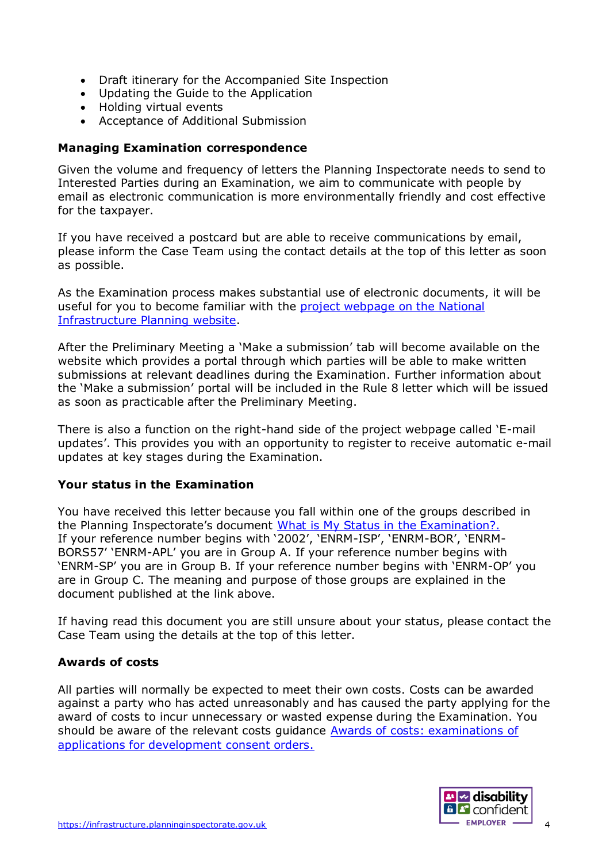- Draft itinerary for the Accompanied Site Inspection
- Updating the Guide to the Application
- Holding virtual events
- Acceptance of Additional Submission

#### **Managing Examination correspondence**

Given the volume and frequency of letters the Planning Inspectorate needs to send to Interested Parties during an Examination, we aim to communicate with people by email as electronic communication is more environmentally friendly and cost effective for the taxpayer.

If you have received a postcard but are able to receive communications by email, please inform the Case Team using the contact details at the top of this letter as soon as possible.

As the Examination process makes substantial use of electronic documents, it will be useful for you to become familiar with the [project webpage on the National](https://infrastructure.planninginspectorate.gov.uk/projects/east-midlands/east-northants-resource-management-facility-western-extension/?ipcsection=overview)  [Infrastructure Planning website.](https://infrastructure.planninginspectorate.gov.uk/projects/east-midlands/east-northants-resource-management-facility-western-extension/?ipcsection=overview)

After the Preliminary Meeting a 'Make a submission' tab will become available on the website which provides a portal through which parties will be able to make written submissions at relevant deadlines during the Examination. Further information about the 'Make a submission' portal will be included in the Rule 8 letter which will be issued as soon as practicable after the Preliminary Meeting.

There is also a function on the right-hand side of the project webpage called 'E-mail updates'. This provides you with an opportunity to register to receive automatic e-mail updates at key stages during the Examination.

#### **Your status in the Examination**

You have received this letter because you fall within one of the groups described in the Planning Inspectorate's document [What is My Status in the Examination?.](https://infrastructure.planninginspectorate.gov.uk/application-process/frequently-asked-questions/status-in-examination-faq/#table) If your reference number begins with '2002', 'ENRM-ISP', 'ENRM-BOR', 'ENRM-BORS57' 'ENRM-APL' you are in Group A. If your reference number begins with 'ENRM-SP' you are in Group B. If your reference number begins with 'ENRM-OP' you are in Group C. The meaning and purpose of those groups are explained in the document published at the link above.

If having read this document you are still unsure about your status, please contact the Case Team using the details at the top of this letter.

### **Awards of costs**

All parties will normally be expected to meet their own costs. Costs can be awarded against a party who has acted unreasonably and has caused the party applying for the award of costs to incur unnecessary or wasted expense during the Examination. You should be aware of the relevant costs guidance **Awards of costs: examinations of** [applications for development consent orders.](https://gbr01.safelinks.protection.outlook.com/?url=https%3A%2F%2Fwww.gov.uk%2Fgovernment%2Fpublications%2Fawards-of-costs-examinations-of-applications-for-development-consent-orders&data=04%7C01%7CRICHARD.PRICE%40planninginspectorate.gov.uk%7Cfc81c4c6bbd04358bc2008d9aa79c1c8%7C5878df986f8848ab9322998ce557088d%7C0%7C0%7C637728262186167163%7CUnknown%7CTWFpbGZsb3d8eyJWIjoiMC4wLjAwMDAiLCJQIjoiV2luMzIiLCJBTiI6Ik1haWwiLCJXVCI6Mn0%3D%7C3000&sdata=yOCuwuV1FTrlNy%2BJ7MbNqMdnXdFQxYAQLvAiMWMK32o%3D&reserved=0)

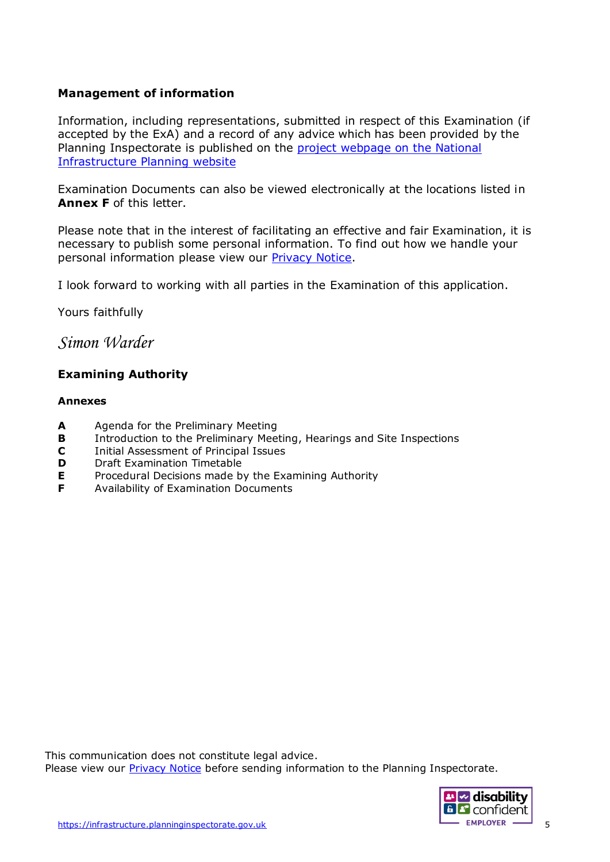### **Management of information**

Information, including representations, submitted in respect of this Examination (if accepted by the ExA) and a record of any advice which has been provided by the Planning Inspectorate is published on the [project webpage on the National](https://infrastructure.planninginspectorate.gov.uk/projects/east-midlands/east-northants-resource-management-facility-western-extension/?ipcsection=overview)  [Infrastructure Planning website](https://infrastructure.planninginspectorate.gov.uk/projects/east-midlands/east-northants-resource-management-facility-western-extension/?ipcsection=overview)

Examination Documents can also be viewed electronically at the locations listed in **Annex F** of this letter.

Please note that in the interest of facilitating an effective and fair Examination, it is necessary to publish some personal information. To find out how we handle your personal information please view our [Privacy Notice.](https://www.gov.uk/government/publications/planning-inspectorate-privacy-notices/customer-privacy-notice)

I look forward to working with all parties in the Examination of this application.

Yours faithfully

# *Simon Warder*

### **Examining Authority**

#### **Annexes**

- **A** Agenda for the Preliminary Meeting
- **B** Introduction to the Preliminary Meeting, Hearings and Site Inspections
- **C** Initial Assessment of Principal Issues
- **D** Draft Examination Timetable
- **E** Procedural Decisions made by the Examining Authority
- **F** Availability of Examination Documents

This communication does not constitute legal advice. Please view our [Privacy Notice](https://www.gov.uk/government/publications/planning-inspectorate-privacy-notices/customer-privacy-notice) before sending information to the Planning Inspectorate.

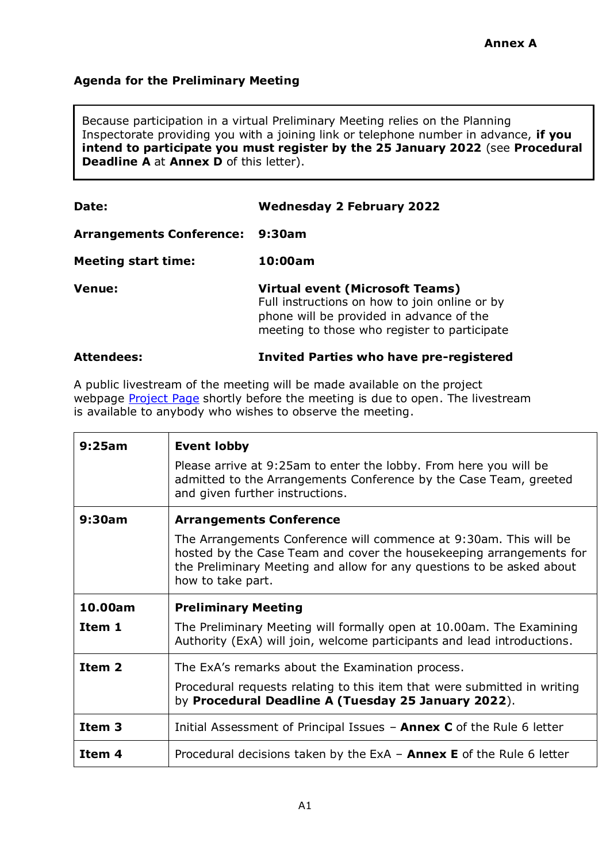## **Agenda for the Preliminary Meeting**

Because participation in a virtual Preliminary Meeting relies on the Planning Inspectorate providing you with a joining link or telephone number in advance, **if you intend to participate you must register by the 25 January 2022** (see **Procedural Deadline A** at **Annex D** of this letter).

| Date:                           | <b>Wednesday 2 February 2022</b>                                                                                                                                                    |  |
|---------------------------------|-------------------------------------------------------------------------------------------------------------------------------------------------------------------------------------|--|
| <b>Arrangements Conference:</b> | 9:30am                                                                                                                                                                              |  |
| <b>Meeting start time:</b>      | 10:00am                                                                                                                                                                             |  |
| Venue:                          | <b>Virtual event (Microsoft Teams)</b><br>Full instructions on how to join online or by<br>phone will be provided in advance of the<br>meeting to those who register to participate |  |
| <b>Attendees:</b>               | <b>Invited Parties who have pre-registered</b>                                                                                                                                      |  |

A public livestream of the meeting will be made available on the project webpage [Project Page](https://infrastructure.planninginspectorate.gov.uk/projects/east-midlands/east-northants-resource-management-facility-western-extension/) shortly before the meeting is due to open. The livestream is available to anybody who wishes to observe the meeting.

| 9:25am            | <b>Event lobby</b>                                                                                                                                                                                                                     |  |
|-------------------|----------------------------------------------------------------------------------------------------------------------------------------------------------------------------------------------------------------------------------------|--|
|                   | Please arrive at 9:25am to enter the lobby. From here you will be<br>admitted to the Arrangements Conference by the Case Team, greeted<br>and given further instructions.                                                              |  |
| 9:30am            | <b>Arrangements Conference</b>                                                                                                                                                                                                         |  |
|                   | The Arrangements Conference will commence at 9:30am. This will be<br>hosted by the Case Team and cover the housekeeping arrangements for<br>the Preliminary Meeting and allow for any questions to be asked about<br>how to take part. |  |
| 10.00am           | <b>Preliminary Meeting</b>                                                                                                                                                                                                             |  |
| Item 1            | The Preliminary Meeting will formally open at 10.00am. The Examining<br>Authority (ExA) will join, welcome participants and lead introductions.                                                                                        |  |
| Item <sub>2</sub> | The ExA's remarks about the Examination process.                                                                                                                                                                                       |  |
|                   | Procedural requests relating to this item that were submitted in writing<br>by Procedural Deadline A (Tuesday 25 January 2022).                                                                                                        |  |
| Item <sub>3</sub> | Initial Assessment of Principal Issues - <b>Annex C</b> of the Rule 6 letter                                                                                                                                                           |  |
| Item 4            | Procedural decisions taken by the ExA $-$ Annex E of the Rule 6 letter                                                                                                                                                                 |  |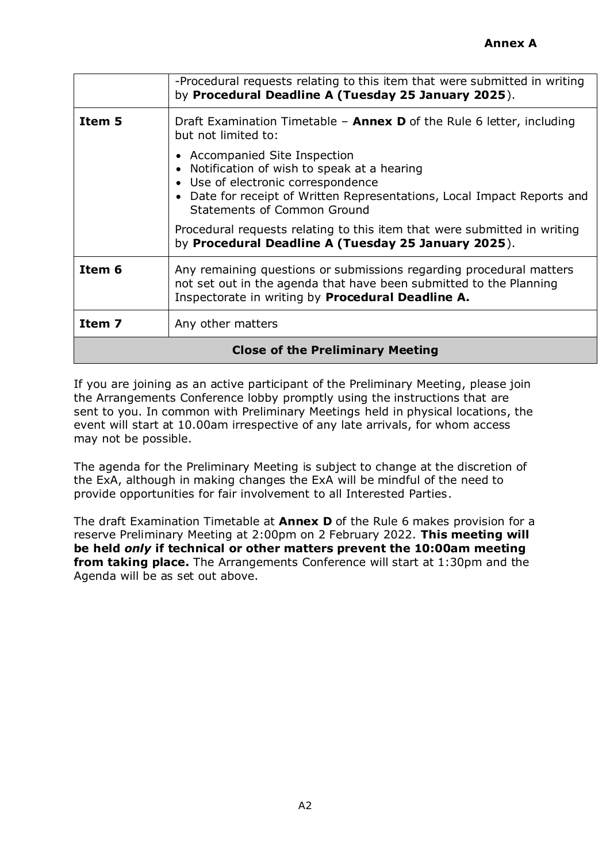|                                         | -Procedural requests relating to this item that were submitted in writing<br>by Procedural Deadline A (Tuesday 25 January 2025).                                                                                                                                                                                                                                 |  |
|-----------------------------------------|------------------------------------------------------------------------------------------------------------------------------------------------------------------------------------------------------------------------------------------------------------------------------------------------------------------------------------------------------------------|--|
| Item 5                                  | Draft Examination Timetable - <b>Annex D</b> of the Rule 6 letter, including<br>but not limited to:                                                                                                                                                                                                                                                              |  |
|                                         | • Accompanied Site Inspection<br>• Notification of wish to speak at a hearing<br>• Use of electronic correspondence<br>• Date for receipt of Written Representations, Local Impact Reports and<br>Statements of Common Ground<br>Procedural requests relating to this item that were submitted in writing<br>by Procedural Deadline A (Tuesday 25 January 2025). |  |
| Item 6                                  | Any remaining questions or submissions regarding procedural matters<br>not set out in the agenda that have been submitted to the Planning<br>Inspectorate in writing by Procedural Deadline A.                                                                                                                                                                   |  |
| Item 7                                  | Any other matters                                                                                                                                                                                                                                                                                                                                                |  |
| <b>Close of the Preliminary Meeting</b> |                                                                                                                                                                                                                                                                                                                                                                  |  |

If you are joining as an active participant of the Preliminary Meeting, please join the Arrangements Conference lobby promptly using the instructions that are sent to you. In common with Preliminary Meetings held in physical locations, the event will start at 10.00am irrespective of any late arrivals, for whom access may not be possible.

The agenda for the Preliminary Meeting is subject to change at the discretion of the ExA, although in making changes the ExA will be mindful of the need to provide opportunities for fair involvement to all Interested Parties.

The draft Examination Timetable at **Annex D** of the Rule 6 makes provision for a reserve Preliminary Meeting at 2:00pm on 2 February 2022. **This meeting will be held** *only* **if technical or other matters prevent the 10:00am meeting from taking place.** The Arrangements Conference will start at 1:30pm and the Agenda will be as set out above.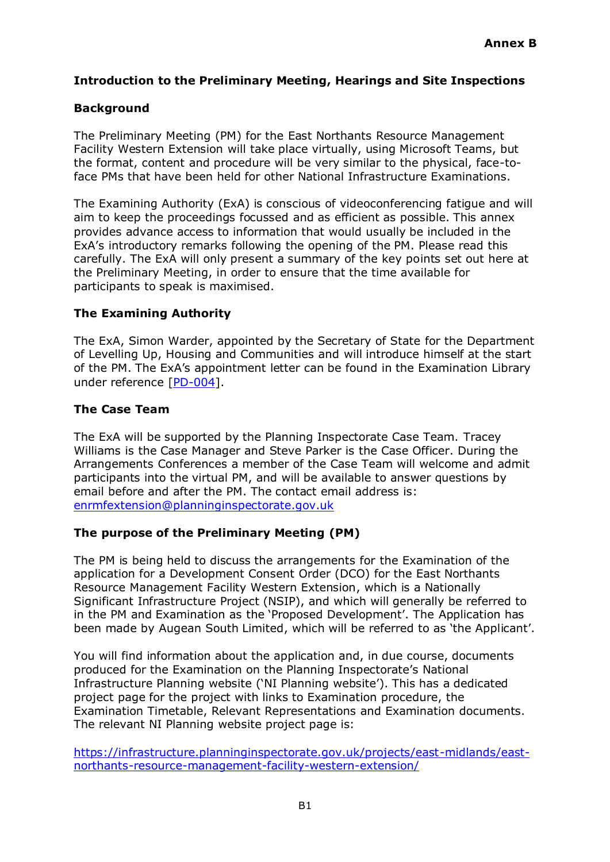### **Introduction to the Preliminary Meeting, Hearings and Site Inspections**

### **Background**

The Preliminary Meeting (PM) for the East Northants Resource Management Facility Western Extension will take place virtually, using Microsoft Teams, but the format, content and procedure will be very similar to the physical, face-toface PMs that have been held for other National Infrastructure Examinations.

The Examining Authority (ExA) is conscious of videoconferencing fatigue and will aim to keep the proceedings focussed and as efficient as possible. This annex provides advance access to information that would usually be included in the ExA's introductory remarks following the opening of the PM. Please read this carefully. The ExA will only present a summary of the key points set out here at the Preliminary Meeting, in order to ensure that the time available for participants to speak is maximised.

### **The Examining Authority**

The ExA, Simon Warder, appointed by the Secretary of State for the Department of Levelling Up, Housing and Communities and will introduce himself at the start of the PM. The ExA's appointment letter can be found in the Examination Library under reference [\[PD-004\]](https://infrastructure.planninginspectorate.gov.uk/wp-content/ipc/uploads/projects/WS010005/WS010005-000392-Notification%20of%20the%20Appointment%20of%20the%20Examining%20Authority.pdf).

#### **The Case Team**

The ExA will be supported by the Planning Inspectorate Case Team. Tracey Williams is the Case Manager and Steve Parker is the Case Officer. During the Arrangements Conferences a member of the Case Team will welcome and admit participants into the virtual PM, and will be available to answer questions by email before and after the PM. The contact email address is: [enrmfextension@planninginspectorate.gov.uk](mailto:enrmfextension@planninginspectorate.gov.uk)

### **The purpose of the Preliminary Meeting (PM)**

The PM is being held to discuss the arrangements for the Examination of the application for a Development Consent Order (DCO) for the East Northants Resource Management Facility Western Extension, which is a Nationally Significant Infrastructure Project (NSIP), and which will generally be referred to in the PM and Examination as the 'Proposed Development'. The Application has been made by Augean South Limited, which will be referred to as 'the Applicant'.

You will find information about the application and, in due course, documents produced for the Examination on the Planning Inspectorate's National Infrastructure Planning website ('NI Planning website'). This has a dedicated project page for the project with links to Examination procedure, the Examination Timetable, Relevant Representations and Examination documents. The relevant NI Planning website project page is:

[https://infrastructure.planninginspectorate.gov.uk/projects/east-midlands/east](https://infrastructure.planninginspectorate.gov.uk/projects/east-midlands/east-northants-resource-management-facility-western-extension/)[northants-resource-management-facility-western-extension/](https://infrastructure.planninginspectorate.gov.uk/projects/east-midlands/east-northants-resource-management-facility-western-extension/)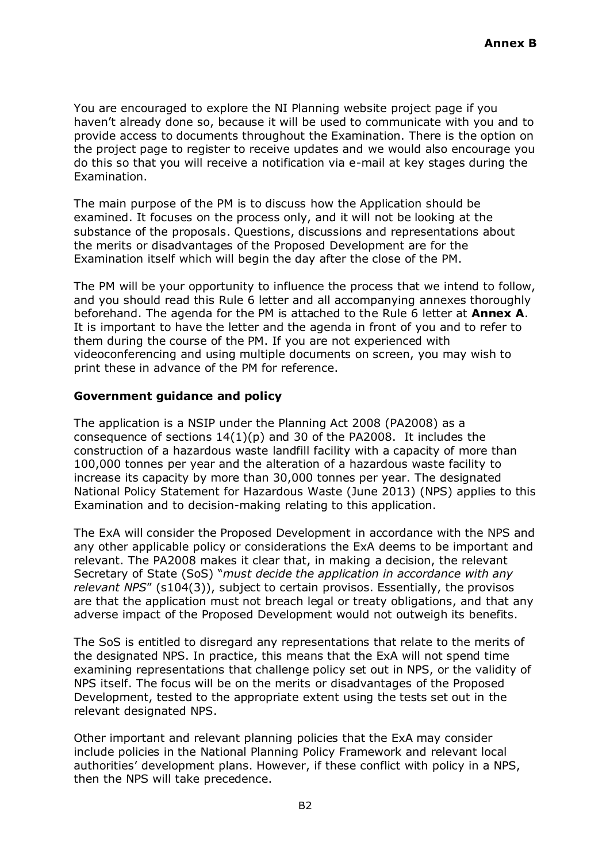You are encouraged to explore the NI Planning website project page if you haven't already done so, because it will be used to communicate with you and to provide access to documents throughout the Examination. There is the option on the project page to register to receive updates and we would also encourage you do this so that you will receive a notification via e-mail at key stages during the Examination.

The main purpose of the PM is to discuss how the Application should be examined. It focuses on the process only, and it will not be looking at the substance of the proposals. Questions, discussions and representations about the merits or disadvantages of the Proposed Development are for the Examination itself which will begin the day after the close of the PM.

The PM will be your opportunity to influence the process that we intend to follow, and you should read this Rule 6 letter and all accompanying annexes thoroughly beforehand. The agenda for the PM is attached to the Rule 6 letter at **Annex A**. It is important to have the letter and the agenda in front of you and to refer to them during the course of the PM. If you are not experienced with videoconferencing and using multiple documents on screen, you may wish to print these in advance of the PM for reference.

### **Government guidance and policy**

The application is a NSIP under the Planning Act 2008 (PA2008) as a consequence of sections 14(1)(p) and 30 of the PA2008. It includes the construction of a hazardous waste landfill facility with a capacity of more than 100,000 tonnes per year and the alteration of a hazardous waste facility to increase its capacity by more than 30,000 tonnes per year. The designated National Policy Statement for Hazardous Waste (June 2013) (NPS) applies to this Examination and to decision-making relating to this application.

The ExA will consider the Proposed Development in accordance with the NPS and any other applicable policy or considerations the ExA deems to be important and relevant. The PA2008 makes it clear that, in making a decision, the relevant Secretary of State (SoS) "*must decide the application in accordance with any relevant NPS*" (s104(3)), subject to certain provisos. Essentially, the provisos are that the application must not breach legal or treaty obligations, and that any adverse impact of the Proposed Development would not outweigh its benefits.

The SoS is entitled to disregard any representations that relate to the merits of the designated NPS. In practice, this means that the ExA will not spend time examining representations that challenge policy set out in NPS, or the validity of NPS itself. The focus will be on the merits or disadvantages of the Proposed Development, tested to the appropriate extent using the tests set out in the relevant designated NPS.

Other important and relevant planning policies that the ExA may consider include policies in the National Planning Policy Framework and relevant local authorities' development plans. However, if these conflict with policy in a NPS, then the NPS will take precedence.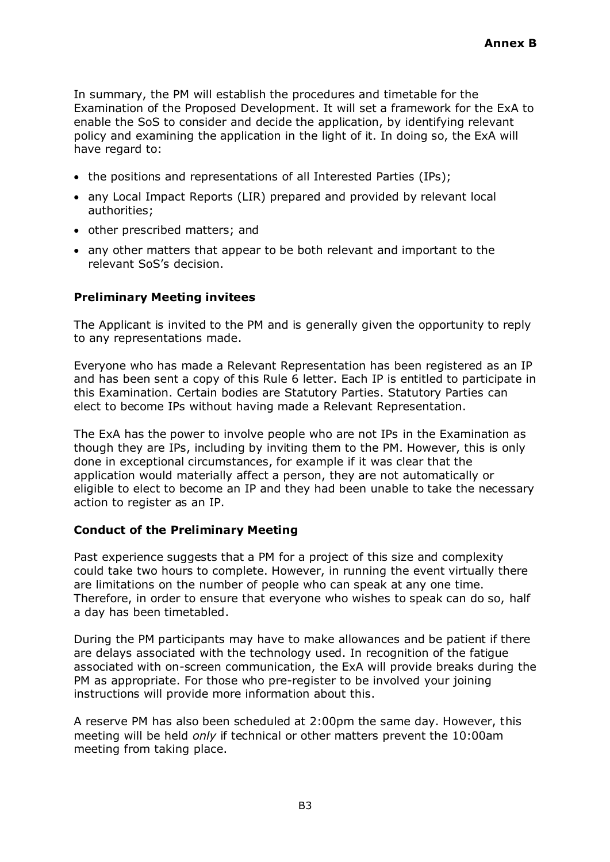In summary, the PM will establish the procedures and timetable for the Examination of the Proposed Development. It will set a framework for the ExA to enable the SoS to consider and decide the application, by identifying relevant policy and examining the application in the light of it. In doing so, the ExA will have regard to:

- the positions and representations of all Interested Parties (IPs);
- any Local Impact Reports (LIR) prepared and provided by relevant local authorities;
- other prescribed matters; and
- any other matters that appear to be both relevant and important to the relevant SoS's decision.

### **Preliminary Meeting invitees**

The Applicant is invited to the PM and is generally given the opportunity to reply to any representations made.

Everyone who has made a Relevant Representation has been registered as an IP and has been sent a copy of this Rule 6 letter. Each IP is entitled to participate in this Examination. Certain bodies are Statutory Parties. Statutory Parties can elect to become IPs without having made a Relevant Representation.

The ExA has the power to involve people who are not IPs in the Examination as though they are IPs, including by inviting them to the PM. However, this is only done in exceptional circumstances, for example if it was clear that the application would materially affect a person, they are not automatically or eligible to elect to become an IP and they had been unable to take the necessary action to register as an IP.

### **Conduct of the Preliminary Meeting**

Past experience suggests that a PM for a project of this size and complexity could take two hours to complete. However, in running the event virtually there are limitations on the number of people who can speak at any one time. Therefore, in order to ensure that everyone who wishes to speak can do so, half a day has been timetabled.

During the PM participants may have to make allowances and be patient if there are delays associated with the technology used. In recognition of the fatigue associated with on-screen communication, the ExA will provide breaks during the PM as appropriate. For those who pre-register to be involved your joining instructions will provide more information about this.

A reserve PM has also been scheduled at 2:00pm the same day. However, this meeting will be held *only* if technical or other matters prevent the 10:00am meeting from taking place.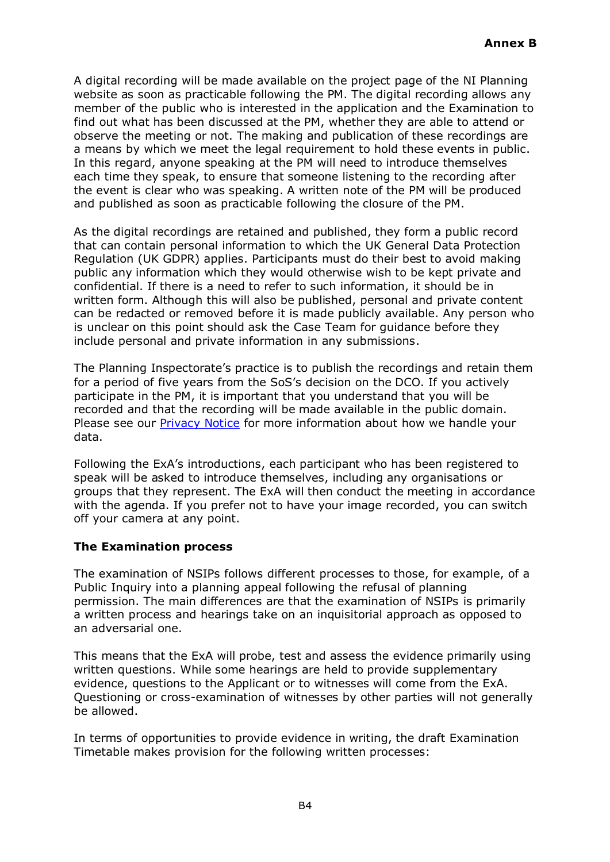A digital recording will be made available on the project page of the NI Planning website as soon as practicable following the PM. The digital recording allows any member of the public who is interested in the application and the Examination to find out what has been discussed at the PM, whether they are able to attend or observe the meeting or not. The making and publication of these recordings are a means by which we meet the legal requirement to hold these events in public. In this regard, anyone speaking at the PM will need to introduce themselves each time they speak, to ensure that someone listening to the recording after the event is clear who was speaking. A written note of the PM will be produced and published as soon as practicable following the closure of the PM.

As the digital recordings are retained and published, they form a public record that can contain personal information to which the UK General Data Protection Regulation (UK GDPR) applies. Participants must do their best to avoid making public any information which they would otherwise wish to be kept private and confidential. If there is a need to refer to such information, it should be in written form. Although this will also be published, personal and private content can be redacted or removed before it is made publicly available. Any person who is unclear on this point should ask the Case Team for guidance before they include personal and private information in any submissions.

The Planning Inspectorate's practice is to publish the recordings and retain them for a period of five years from the SoS's decision on the DCO. If you actively participate in the PM, it is important that you understand that you will be recorded and that the recording will be made available in the public domain. Please see our [Privacy Notice](https://www.gov.uk/government/publications/planning-inspectorate-privacy-notices/customer-privacy-notice) for more information about how we handle your data.

Following the ExA's introductions, each participant who has been registered to speak will be asked to introduce themselves, including any organisations or groups that they represent. The ExA will then conduct the meeting in accordance with the agenda. If you prefer not to have your image recorded, you can switch off your camera at any point.

### **The Examination process**

The examination of NSIPs follows different processes to those, for example, of a Public Inquiry into a planning appeal following the refusal of planning permission. The main differences are that the examination of NSIPs is primarily a written process and hearings take on an inquisitorial approach as opposed to an adversarial one.

This means that the ExA will probe, test and assess the evidence primarily using written questions. While some hearings are held to provide supplementary evidence, questions to the Applicant or to witnesses will come from the ExA. Questioning or cross-examination of witnesses by other parties will not generally be allowed.

In terms of opportunities to provide evidence in writing, the draft Examination Timetable makes provision for the following written processes: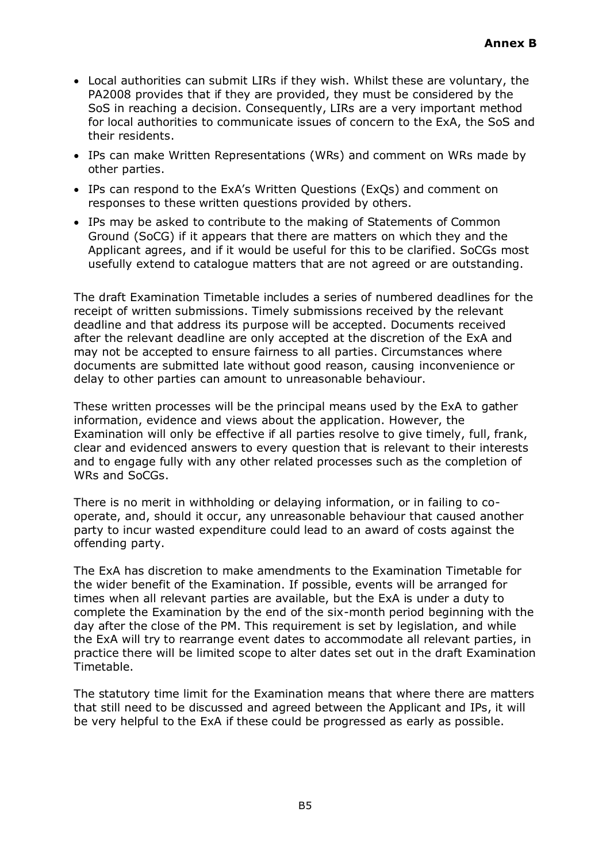- Local authorities can submit LIRs if they wish. Whilst these are voluntary, the PA2008 provides that if they are provided, they must be considered by the SoS in reaching a decision. Consequently, LIRs are a very important method for local authorities to communicate issues of concern to the ExA, the SoS and their residents.
- IPs can make Written Representations (WRs) and comment on WRs made by other parties.
- IPs can respond to the ExA's Written Questions (ExQs) and comment on responses to these written questions provided by others.
- IPs may be asked to contribute to the making of Statements of Common Ground (SoCG) if it appears that there are matters on which they and the Applicant agrees, and if it would be useful for this to be clarified. SoCGs most usefully extend to catalogue matters that are not agreed or are outstanding.

The draft Examination Timetable includes a series of numbered deadlines for the receipt of written submissions. Timely submissions received by the relevant deadline and that address its purpose will be accepted. Documents received after the relevant deadline are only accepted at the discretion of the ExA and may not be accepted to ensure fairness to all parties. Circumstances where documents are submitted late without good reason, causing inconvenience or delay to other parties can amount to unreasonable behaviour.

These written processes will be the principal means used by the ExA to gather information, evidence and views about the application. However, the Examination will only be effective if all parties resolve to give timely, full, frank, clear and evidenced answers to every question that is relevant to their interests and to engage fully with any other related processes such as the completion of WRs and SoCGs.

There is no merit in withholding or delaying information, or in failing to cooperate, and, should it occur, any unreasonable behaviour that caused another party to incur wasted expenditure could lead to an award of costs against the offending party.

The ExA has discretion to make amendments to the Examination Timetable for the wider benefit of the Examination. If possible, events will be arranged for times when all relevant parties are available, but the ExA is under a duty to complete the Examination by the end of the six-month period beginning with the day after the close of the PM. This requirement is set by legislation, and while the ExA will try to rearrange event dates to accommodate all relevant parties, in practice there will be limited scope to alter dates set out in the draft Examination Timetable.

The statutory time limit for the Examination means that where there are matters that still need to be discussed and agreed between the Applicant and IPs, it will be very helpful to the ExA if these could be progressed as early as possible.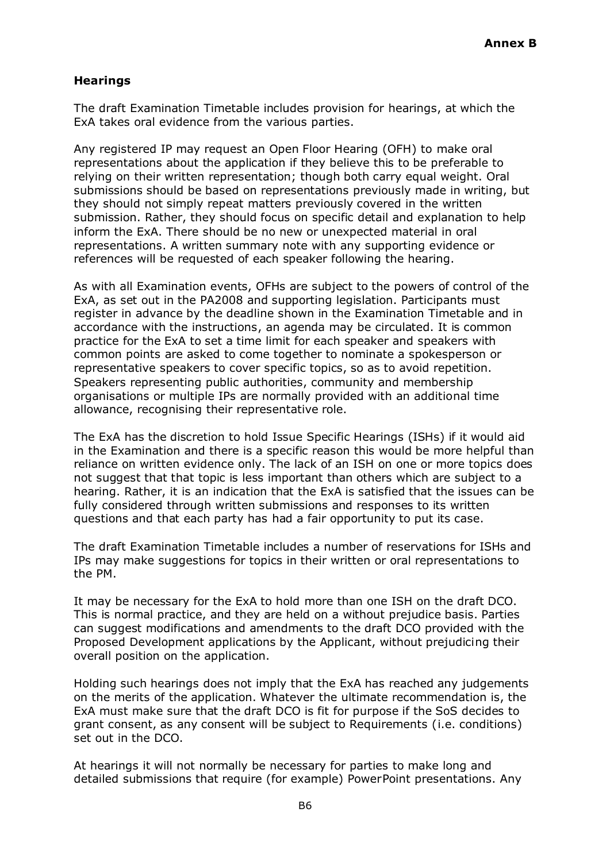## **Hearings**

The draft Examination Timetable includes provision for hearings, at which the ExA takes oral evidence from the various parties.

Any registered IP may request an Open Floor Hearing (OFH) to make oral representations about the application if they believe this to be preferable to relying on their written representation; though both carry equal weight. Oral submissions should be based on representations previously made in writing, but they should not simply repeat matters previously covered in the written submission. Rather, they should focus on specific detail and explanation to help inform the ExA. There should be no new or unexpected material in oral representations. A written summary note with any supporting evidence or references will be requested of each speaker following the hearing.

As with all Examination events, OFHs are subject to the powers of control of the ExA, as set out in the PA2008 and supporting legislation. Participants must register in advance by the deadline shown in the Examination Timetable and in accordance with the instructions, an agenda may be circulated. It is common practice for the ExA to set a time limit for each speaker and speakers with common points are asked to come together to nominate a spokesperson or representative speakers to cover specific topics, so as to avoid repetition. Speakers representing public authorities, community and membership organisations or multiple IPs are normally provided with an additional time allowance, recognising their representative role.

The ExA has the discretion to hold Issue Specific Hearings (ISHs) if it would aid in the Examination and there is a specific reason this would be more helpful than reliance on written evidence only. The lack of an ISH on one or more topics does not suggest that that topic is less important than others which are subject to a hearing. Rather, it is an indication that the ExA is satisfied that the issues can be fully considered through written submissions and responses to its written questions and that each party has had a fair opportunity to put its case.

The draft Examination Timetable includes a number of reservations for ISHs and IPs may make suggestions for topics in their written or oral representations to the PM.

It may be necessary for the ExA to hold more than one ISH on the draft DCO. This is normal practice, and they are held on a without prejudice basis. Parties can suggest modifications and amendments to the draft DCO provided with the Proposed Development applications by the Applicant, without prejudicing their overall position on the application.

Holding such hearings does not imply that the ExA has reached any judgements on the merits of the application. Whatever the ultimate recommendation is, the ExA must make sure that the draft DCO is fit for purpose if the SoS decides to grant consent, as any consent will be subject to Requirements (i.e. conditions) set out in the DCO.

At hearings it will not normally be necessary for parties to make long and detailed submissions that require (for example) PowerPoint presentations. Any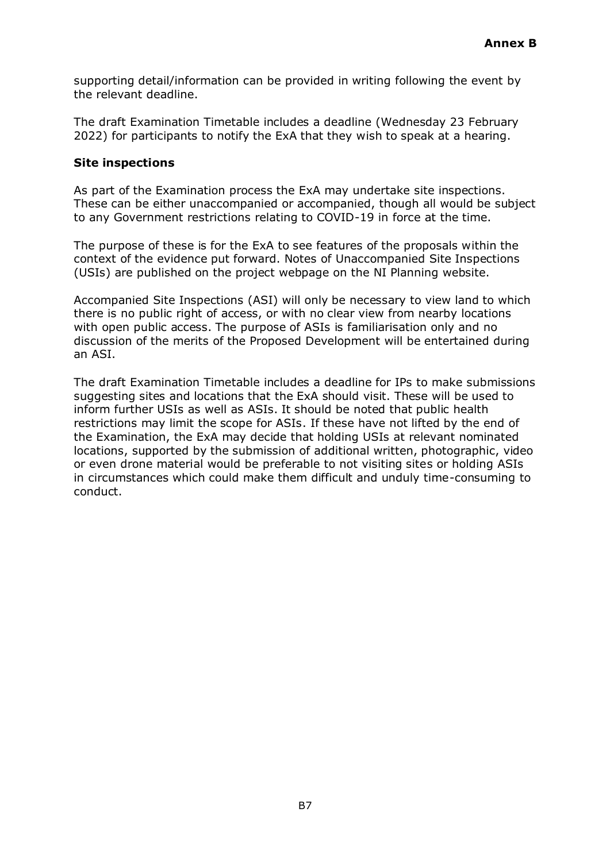supporting detail/information can be provided in writing following the event by the relevant deadline.

The draft Examination Timetable includes a deadline (Wednesday 23 February 2022) for participants to notify the ExA that they wish to speak at a hearing.

#### **Site inspections**

As part of the Examination process the ExA may undertake site inspections. These can be either unaccompanied or accompanied, though all would be subject to any Government restrictions relating to COVID-19 in force at the time.

The purpose of these is for the ExA to see features of the proposals within the context of the evidence put forward. Notes of Unaccompanied Site Inspections (USIs) are published on the project webpage on the NI Planning website.

Accompanied Site Inspections (ASI) will only be necessary to view land to which there is no public right of access, or with no clear view from nearby locations with open public access. The purpose of ASIs is familiarisation only and no discussion of the merits of the Proposed Development will be entertained during an ASI.

The draft Examination Timetable includes a deadline for IPs to make submissions suggesting sites and locations that the ExA should visit. These will be used to inform further USIs as well as ASIs. It should be noted that public health restrictions may limit the scope for ASIs. If these have not lifted by the end of the Examination, the ExA may decide that holding USIs at relevant nominated locations, supported by the submission of additional written, photographic, video or even drone material would be preferable to not visiting sites or holding ASIs in circumstances which could make them difficult and unduly time-consuming to conduct.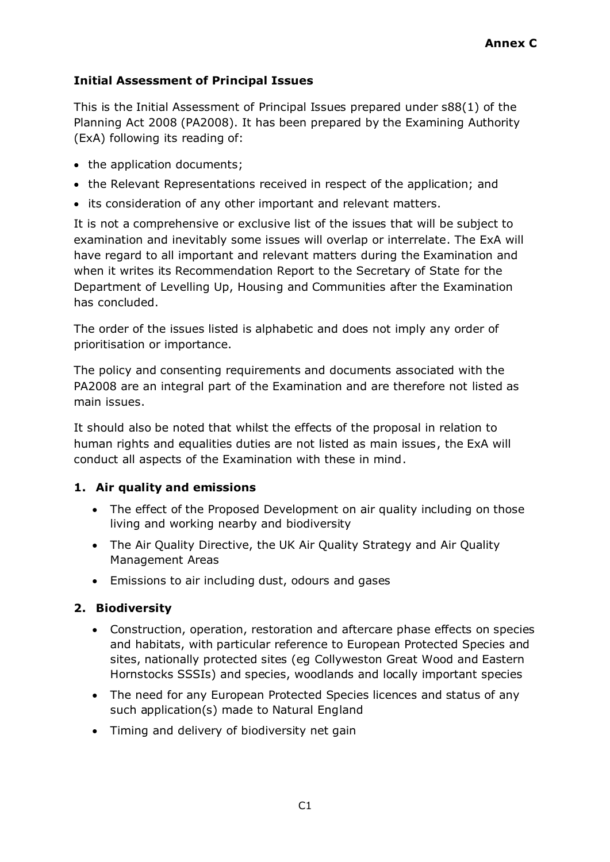# **Initial Assessment of Principal Issues**

This is the Initial Assessment of Principal Issues prepared under s88(1) of the Planning Act 2008 (PA2008). It has been prepared by the Examining Authority (ExA) following its reading of:

- the application documents;
- the Relevant Representations received in respect of the application; and
- its consideration of any other important and relevant matters.

It is not a comprehensive or exclusive list of the issues that will be subject to examination and inevitably some issues will overlap or interrelate. The ExA will have regard to all important and relevant matters during the Examination and when it writes its Recommendation Report to the Secretary of State for the Department of Levelling Up, Housing and Communities after the Examination has concluded.

The order of the issues listed is alphabetic and does not imply any order of prioritisation or importance.

The policy and consenting requirements and documents associated with the PA2008 are an integral part of the Examination and are therefore not listed as main issues.

It should also be noted that whilst the effects of the proposal in relation to human rights and equalities duties are not listed as main issues, the ExA will conduct all aspects of the Examination with these in mind.

## **1. Air quality and emissions**

- The effect of the Proposed Development on air quality including on those living and working nearby and biodiversity
- The Air Quality Directive, the UK Air Quality Strategy and Air Quality Management Areas
- Emissions to air including dust, odours and gases

## **2. Biodiversity**

- Construction, operation, restoration and aftercare phase effects on species and habitats, with particular reference to European Protected Species and sites, nationally protected sites (eg Collyweston Great Wood and Eastern Hornstocks SSSIs) and species, woodlands and locally important species
- The need for any European Protected Species licences and status of any such application(s) made to Natural England
- Timing and delivery of biodiversity net gain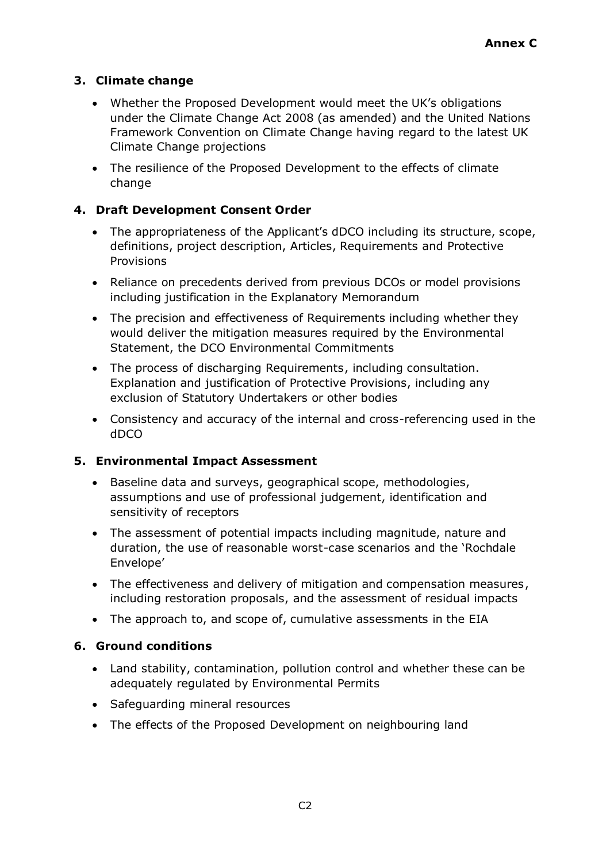# **3. Climate change**

- Whether the Proposed Development would meet the UK's obligations under the Climate Change Act 2008 (as amended) and the United Nations Framework Convention on Climate Change having regard to the latest UK Climate Change projections
- The resilience of the Proposed Development to the effects of climate change

## **4. Draft Development Consent Order**

- The appropriateness of the Applicant's dDCO including its structure, scope, definitions, project description, Articles, Requirements and Protective **Provisions**
- Reliance on precedents derived from previous DCOs or model provisions including justification in the Explanatory Memorandum
- The precision and effectiveness of Requirements including whether they would deliver the mitigation measures required by the Environmental Statement, the DCO Environmental Commitments
- The process of discharging Requirements, including consultation. Explanation and justification of Protective Provisions, including any exclusion of Statutory Undertakers or other bodies
- Consistency and accuracy of the internal and cross-referencing used in the dDCO

## **5. Environmental Impact Assessment**

- Baseline data and surveys, geographical scope, methodologies, assumptions and use of professional judgement, identification and sensitivity of receptors
- The assessment of potential impacts including magnitude, nature and duration, the use of reasonable worst-case scenarios and the 'Rochdale Envelope'
- The effectiveness and delivery of mitigation and compensation measures, including restoration proposals, and the assessment of residual impacts
- The approach to, and scope of, cumulative assessments in the EIA

## **6. Ground conditions**

- Land stability, contamination, pollution control and whether these can be adequately regulated by Environmental Permits
- Safeguarding mineral resources
- The effects of the Proposed Development on neighbouring land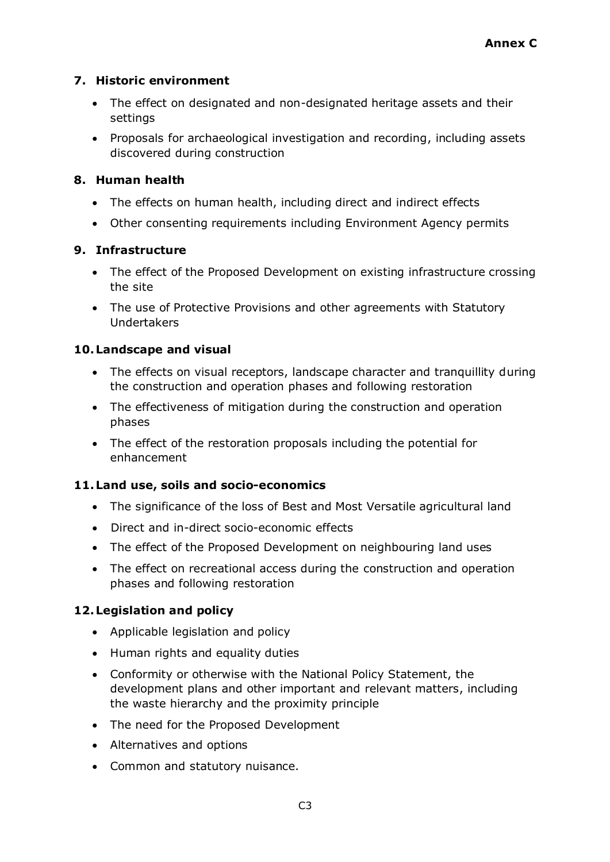# **7. Historic environment**

- The effect on designated and non-designated heritage assets and their settings
- Proposals for archaeological investigation and recording, including assets discovered during construction

# **8. Human health**

- The effects on human health, including direct and indirect effects
- Other consenting requirements including Environment Agency permits

# **9. Infrastructure**

- The effect of the Proposed Development on existing infrastructure crossing the site
- The use of Protective Provisions and other agreements with Statutory Undertakers

# **10.Landscape and visual**

- The effects on visual receptors, landscape character and tranquillity during the construction and operation phases and following restoration
- The effectiveness of mitigation during the construction and operation phases
- The effect of the restoration proposals including the potential for enhancement

# **11.Land use, soils and socio-economics**

- The significance of the loss of Best and Most Versatile agricultural land
- Direct and in-direct socio-economic effects
- The effect of the Proposed Development on neighbouring land uses
- The effect on recreational access during the construction and operation phases and following restoration

# **12.Legislation and policy**

- Applicable legislation and policy
- Human rights and equality duties
- Conformity or otherwise with the National Policy Statement, the development plans and other important and relevant matters, including the waste hierarchy and the proximity principle
- The need for the Proposed Development
- Alternatives and options
- Common and statutory nuisance.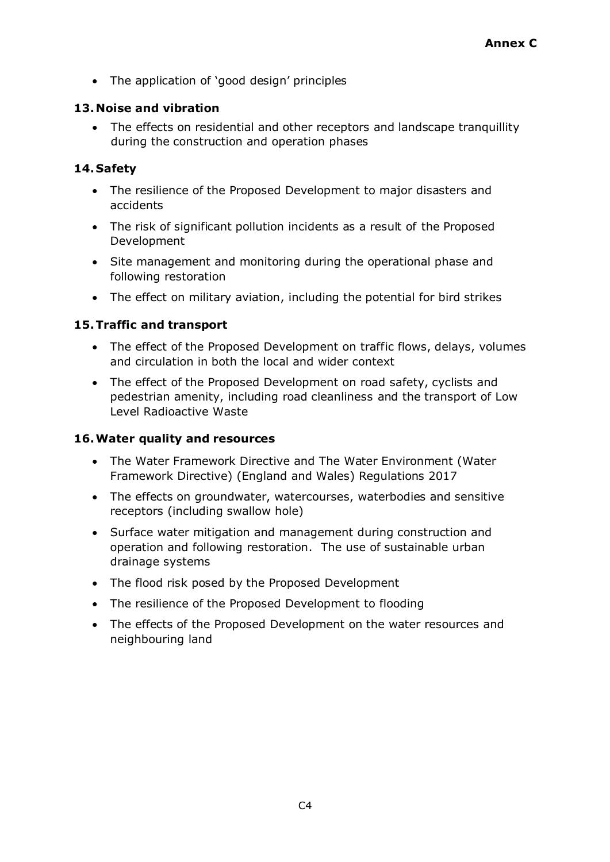• The application of 'good design' principles

## **13. Noise and vibration**

The effects on residential and other receptors and landscape tranquillity during the construction and operation phases

## **14.Safety**

- The resilience of the Proposed Development to major disasters and accidents
- The risk of significant pollution incidents as a result of the Proposed Development
- Site management and monitoring during the operational phase and following restoration
- The effect on military aviation, including the potential for bird strikes

## **15.Traffic and transport**

- The effect of the Proposed Development on traffic flows, delays, volumes and circulation in both the local and wider context
- The effect of the Proposed Development on road safety, cyclists and pedestrian amenity, including road cleanliness and the transport of Low Level Radioactive Waste

## **16.Water quality and resources**

- The Water Framework Directive and The Water Environment (Water Framework Directive) (England and Wales) Regulations 2017
- The effects on groundwater, watercourses, waterbodies and sensitive receptors (including swallow hole)
- Surface water mitigation and management during construction and operation and following restoration. The use of sustainable urban drainage systems
- The flood risk posed by the Proposed Development
- The resilience of the Proposed Development to flooding
- The effects of the Proposed Development on the water resources and neighbouring land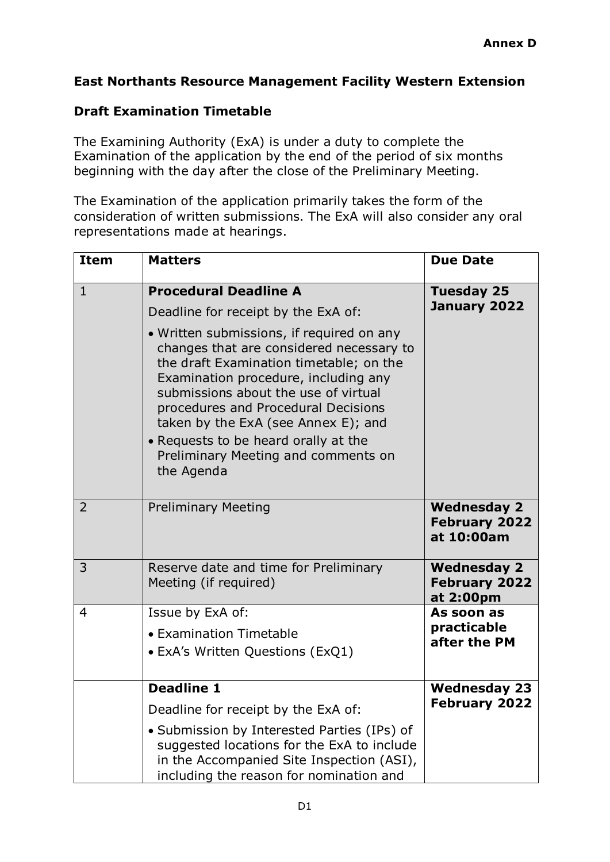# **East Northants Resource Management Facility Western Extension**

# **Draft Examination Timetable**

The Examining Authority (ExA) is under a duty to complete the Examination of the application by the end of the period of six months beginning with the day after the close of the Preliminary Meeting.

The Examination of the application primarily takes the form of the consideration of written submissions. The ExA will also consider any oral representations made at hearings.

| <b>Item</b>    | <b>Matters</b>                                                                                                                                                                                                                                                                                                                                                                              | <b>Due Date</b>                                          |
|----------------|---------------------------------------------------------------------------------------------------------------------------------------------------------------------------------------------------------------------------------------------------------------------------------------------------------------------------------------------------------------------------------------------|----------------------------------------------------------|
| $\mathbf{1}$   | <b>Procedural Deadline A</b>                                                                                                                                                                                                                                                                                                                                                                | <b>Tuesday 25</b>                                        |
|                | Deadline for receipt by the ExA of:                                                                                                                                                                                                                                                                                                                                                         | January 2022                                             |
|                | · Written submissions, if required on any<br>changes that are considered necessary to<br>the draft Examination timetable; on the<br>Examination procedure, including any<br>submissions about the use of virtual<br>procedures and Procedural Decisions<br>taken by the ExA (see Annex E); and<br>• Requests to be heard orally at the<br>Preliminary Meeting and comments on<br>the Agenda |                                                          |
| $\overline{2}$ | <b>Preliminary Meeting</b>                                                                                                                                                                                                                                                                                                                                                                  | <b>Wednesday 2</b><br><b>February 2022</b><br>at 10:00am |
| 3              | Reserve date and time for Preliminary<br>Meeting (if required)                                                                                                                                                                                                                                                                                                                              | <b>Wednesday 2</b><br><b>February 2022</b><br>at 2:00pm  |
| $\overline{4}$ | Issue by ExA of:                                                                                                                                                                                                                                                                                                                                                                            | As soon as                                               |
|                | • Examination Timetable                                                                                                                                                                                                                                                                                                                                                                     | practicable<br>after the PM                              |
|                | • ExA's Written Questions (ExQ1)                                                                                                                                                                                                                                                                                                                                                            |                                                          |
|                | <b>Deadline 1</b>                                                                                                                                                                                                                                                                                                                                                                           | <b>Wednesday 23</b>                                      |
|                | Deadline for receipt by the ExA of:                                                                                                                                                                                                                                                                                                                                                         | <b>February 2022</b>                                     |
|                | • Submission by Interested Parties (IPs) of<br>suggested locations for the ExA to include<br>in the Accompanied Site Inspection (ASI),<br>including the reason for nomination and                                                                                                                                                                                                           |                                                          |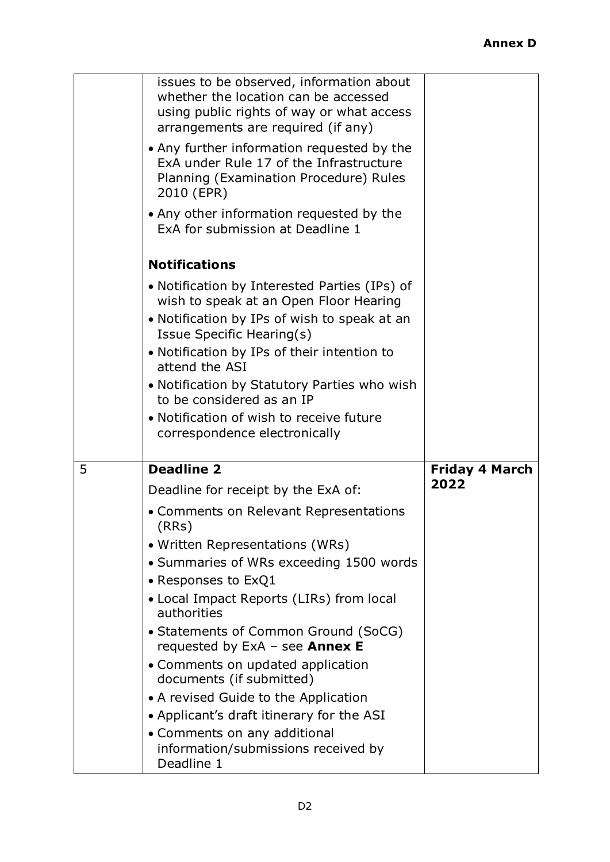|   | issues to be observed, information about<br>whether the location can be accessed<br>using public rights of way or what access<br>arrangements are required (if any) |                       |
|---|---------------------------------------------------------------------------------------------------------------------------------------------------------------------|-----------------------|
|   | • Any further information requested by the<br>ExA under Rule 17 of the Infrastructure<br>Planning (Examination Procedure) Rules<br>2010 (EPR)                       |                       |
|   | • Any other information requested by the<br>ExA for submission at Deadline 1                                                                                        |                       |
|   | <b>Notifications</b>                                                                                                                                                |                       |
|   | • Notification by Interested Parties (IPs) of<br>wish to speak at an Open Floor Hearing                                                                             |                       |
|   | • Notification by IPs of wish to speak at an<br>Issue Specific Hearing(s)                                                                                           |                       |
|   | • Notification by IPs of their intention to<br>attend the ASI                                                                                                       |                       |
|   | • Notification by Statutory Parties who wish<br>to be considered as an IP                                                                                           |                       |
|   | • Notification of wish to receive future                                                                                                                            |                       |
|   | correspondence electronically                                                                                                                                       |                       |
| 5 | <b>Deadline 2</b>                                                                                                                                                   | <b>Friday 4 March</b> |
|   | Deadline for receipt by the ExA of:                                                                                                                                 | 2022                  |
|   | • Comments on Relevant Representations<br>(RRs)                                                                                                                     |                       |
|   | • Written Representations (WRs)                                                                                                                                     |                       |
|   | • Summaries of WRs exceeding 1500 words                                                                                                                             |                       |
|   | • Responses to ExQ1                                                                                                                                                 |                       |
|   | • Local Impact Reports (LIRs) from local<br>authorities                                                                                                             |                       |
|   | • Statements of Common Ground (SoCG)<br>requested by $ExA - see$ Annex E                                                                                            |                       |
|   | • Comments on updated application<br>documents (if submitted)                                                                                                       |                       |
|   | • A revised Guide to the Application                                                                                                                                |                       |
|   | • Applicant's draft itinerary for the ASI<br>• Comments on any additional                                                                                           |                       |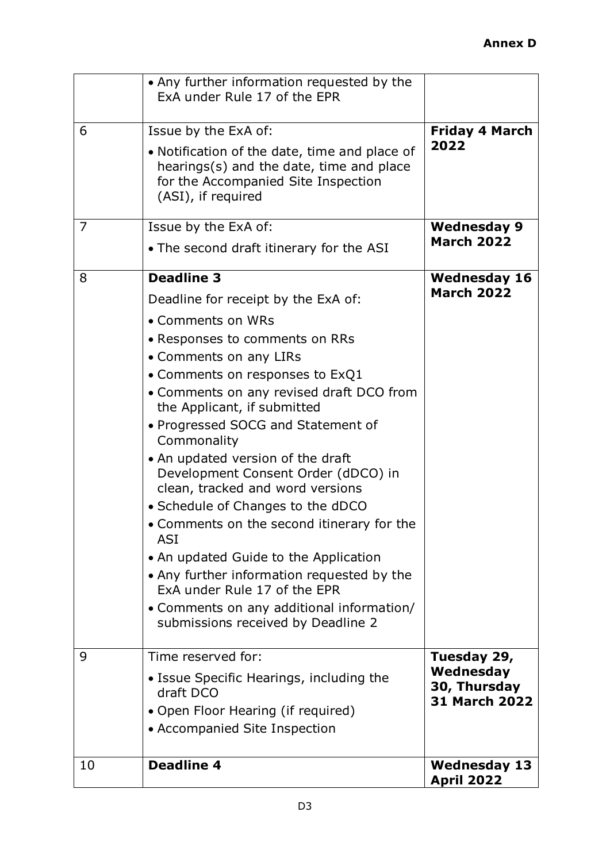| 10             | <b>Deadline 4</b>                                                                                                                                                                                                                                                                                                                                                                                                                                                                                                                                                                                                                                                                                                    | <b>Wednesday 13</b><br><b>April 2022</b>          |
|----------------|----------------------------------------------------------------------------------------------------------------------------------------------------------------------------------------------------------------------------------------------------------------------------------------------------------------------------------------------------------------------------------------------------------------------------------------------------------------------------------------------------------------------------------------------------------------------------------------------------------------------------------------------------------------------------------------------------------------------|---------------------------------------------------|
|                | • Issue Specific Hearings, including the<br>draft DCO<br>• Open Floor Hearing (if required)<br>• Accompanied Site Inspection                                                                                                                                                                                                                                                                                                                                                                                                                                                                                                                                                                                         | Wednesday<br>30, Thursday<br><b>31 March 2022</b> |
| 9              | Time reserved for:                                                                                                                                                                                                                                                                                                                                                                                                                                                                                                                                                                                                                                                                                                   | Tuesday 29,                                       |
|                | Deadline for receipt by the ExA of:<br>• Comments on WRs<br>• Responses to comments on RRs<br>• Comments on any LIRs<br>• Comments on responses to $ExQ1$<br>• Comments on any revised draft DCO from<br>the Applicant, if submitted<br>• Progressed SOCG and Statement of<br>Commonality<br>• An updated version of the draft<br>Development Consent Order (dDCO) in<br>clean, tracked and word versions<br>• Schedule of Changes to the dDCO<br>• Comments on the second itinerary for the<br><b>ASI</b><br>• An updated Guide to the Application<br>• Any further information requested by the<br>ExA under Rule 17 of the EPR<br>• Comments on any additional information/<br>submissions received by Deadline 2 | <b>March 2022</b>                                 |
| 8              | • The second draft itinerary for the ASI<br><b>Deadline 3</b>                                                                                                                                                                                                                                                                                                                                                                                                                                                                                                                                                                                                                                                        | <b>Wednesday 16</b>                               |
| $\overline{7}$ | Issue by the ExA of:                                                                                                                                                                                                                                                                                                                                                                                                                                                                                                                                                                                                                                                                                                 | <b>Wednesday 9</b><br><b>March 2022</b>           |
| 6              | Issue by the ExA of:<br>• Notification of the date, time and place of<br>hearings(s) and the date, time and place<br>for the Accompanied Site Inspection<br>(ASI), if required                                                                                                                                                                                                                                                                                                                                                                                                                                                                                                                                       | <b>Friday 4 March</b><br>2022                     |
|                | • Any further information requested by the<br>ExA under Rule 17 of the EPR                                                                                                                                                                                                                                                                                                                                                                                                                                                                                                                                                                                                                                           |                                                   |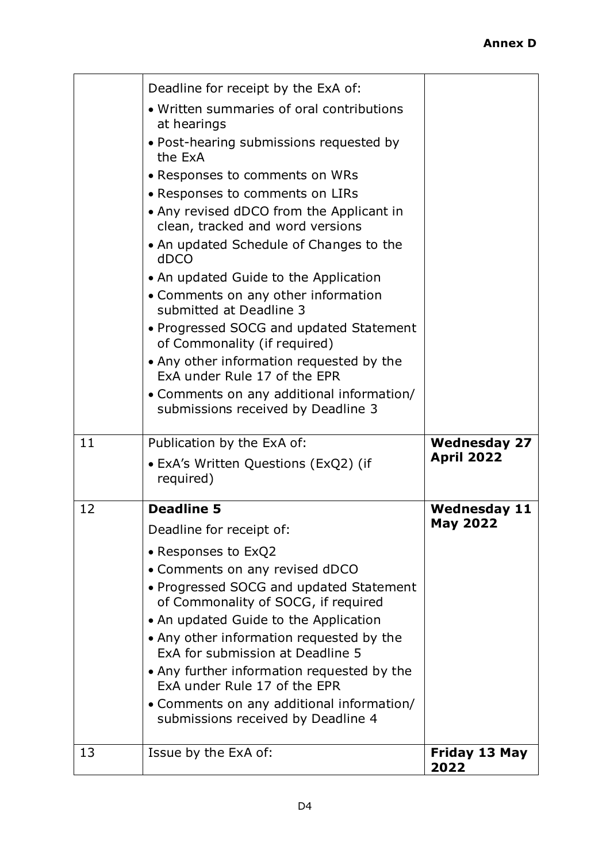|    | Deadline for receipt by the ExA of:<br>• Written summaries of oral contributions<br>at hearings<br>• Post-hearing submissions requested by<br>the ExA<br>• Responses to comments on WRs<br>• Responses to comments on LIRs<br>• Any revised dDCO from the Applicant in<br>clean, tracked and word versions<br>• An updated Schedule of Changes to the<br>dDCO<br>• An updated Guide to the Application<br>• Comments on any other information<br>submitted at Deadline 3<br>• Progressed SOCG and updated Statement<br>of Commonality (if required)<br>• Any other information requested by the<br>ExA under Rule 17 of the EPR<br>• Comments on any additional information/<br>submissions received by Deadline 3 |                                          |
|----|--------------------------------------------------------------------------------------------------------------------------------------------------------------------------------------------------------------------------------------------------------------------------------------------------------------------------------------------------------------------------------------------------------------------------------------------------------------------------------------------------------------------------------------------------------------------------------------------------------------------------------------------------------------------------------------------------------------------|------------------------------------------|
| 11 | Publication by the ExA of:<br>• ExA's Written Questions (ExQ2) (if<br>required)                                                                                                                                                                                                                                                                                                                                                                                                                                                                                                                                                                                                                                    | <b>Wednesday 27</b><br><b>April 2022</b> |
| 12 | <b>Deadline 5</b><br>Deadline for receipt of:<br>• Responses to ExQ2<br>• Comments on any revised dDCO<br>• Progressed SOCG and updated Statement<br>of Commonality of SOCG, if required<br>• An updated Guide to the Application<br>• Any other information requested by the<br>ExA for submission at Deadline 5<br>• Any further information requested by the<br>ExA under Rule 17 of the EPR<br>• Comments on any additional information/<br>submissions received by Deadline 4                                                                                                                                                                                                                                 | <b>Wednesday 11</b><br><b>May 2022</b>   |
| 13 | Issue by the ExA of:                                                                                                                                                                                                                                                                                                                                                                                                                                                                                                                                                                                                                                                                                               | <b>Friday 13 May</b><br>2022             |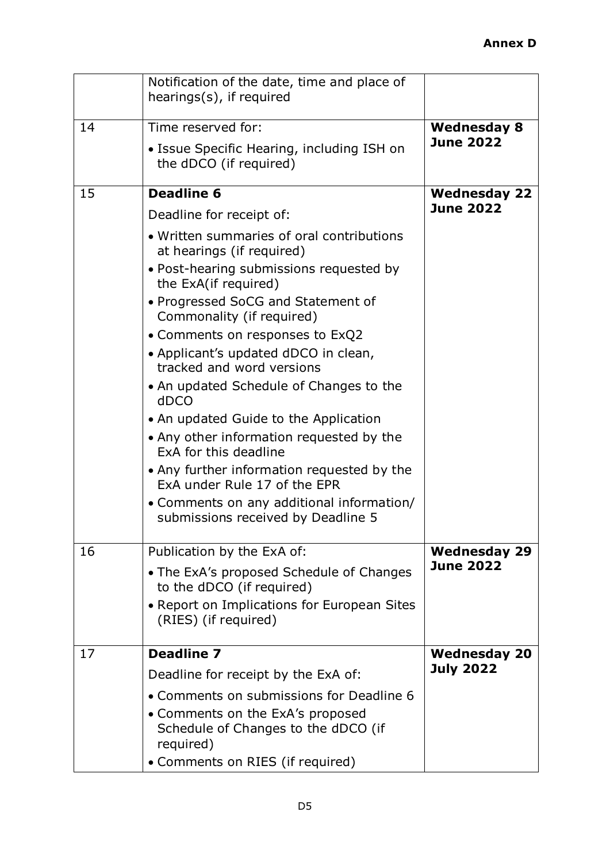|    | Notification of the date, time and place of<br>hearings(s), if required              |                     |
|----|--------------------------------------------------------------------------------------|---------------------|
| 14 | Time reserved for:                                                                   | <b>Wednesday 8</b>  |
|    | • Issue Specific Hearing, including ISH on<br>the dDCO (if required)                 | <b>June 2022</b>    |
| 15 | <b>Deadline 6</b>                                                                    | <b>Wednesday 22</b> |
|    | Deadline for receipt of:                                                             | <b>June 2022</b>    |
|    | • Written summaries of oral contributions<br>at hearings (if required)               |                     |
|    | • Post-hearing submissions requested by<br>the ExA(if required)                      |                     |
|    | • Progressed SoCG and Statement of<br>Commonality (if required)                      |                     |
|    | • Comments on responses to ExQ2                                                      |                     |
|    | • Applicant's updated dDCO in clean,<br>tracked and word versions                    |                     |
|    | • An updated Schedule of Changes to the<br>dDCO                                      |                     |
|    | • An updated Guide to the Application                                                |                     |
|    | • Any other information requested by the<br>ExA for this deadline                    |                     |
|    | • Any further information requested by the<br>ExA under Rule 17 of the EPR           |                     |
|    | • Comments on any additional information/<br>submissions received by Deadline 5      |                     |
| 16 | Publication by the ExA of:                                                           | <b>Wednesday 29</b> |
|    | • The ExA's proposed Schedule of Changes<br>to the dDCO (if required)                | <b>June 2022</b>    |
|    | • Report on Implications for European Sites<br>(RIES) (if required)                  |                     |
| 17 | <b>Deadline 7</b>                                                                    | <b>Wednesday 20</b> |
|    | Deadline for receipt by the ExA of:                                                  | <b>July 2022</b>    |
|    | • Comments on submissions for Deadline 6                                             |                     |
|    | • Comments on the ExA's proposed<br>Schedule of Changes to the dDCO (if<br>required) |                     |
|    | • Comments on RIES (if required)                                                     |                     |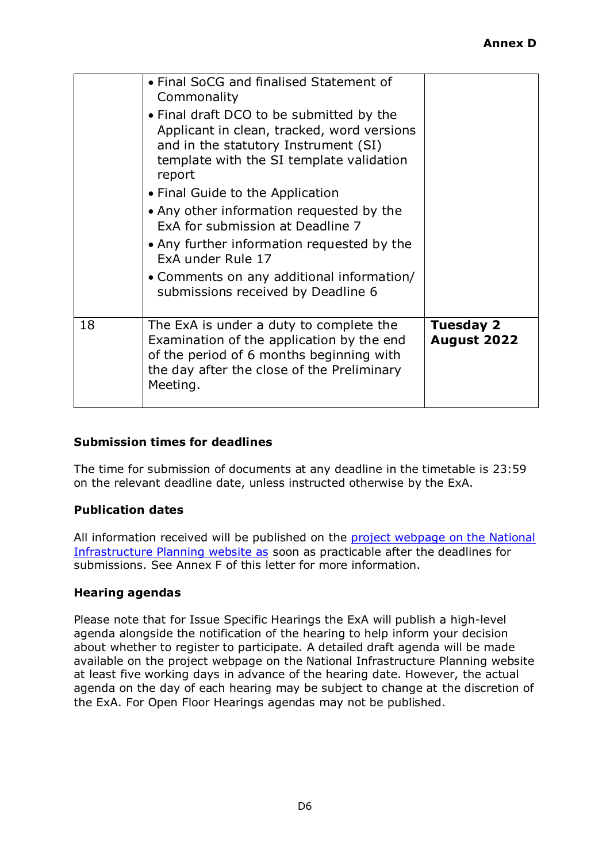|    | • Final SoCG and finalised Statement of<br>Commonality<br>• Final draft DCO to be submitted by the<br>Applicant in clean, tracked, word versions<br>and in the statutory Instrument (SI)<br>template with the SI template validation<br>report<br>• Final Guide to the Application<br>• Any other information requested by the<br>ExA for submission at Deadline 7<br>• Any further information requested by the<br>ExA under Rule 17<br>• Comments on any additional information/<br>submissions received by Deadline 6 |                                        |
|----|--------------------------------------------------------------------------------------------------------------------------------------------------------------------------------------------------------------------------------------------------------------------------------------------------------------------------------------------------------------------------------------------------------------------------------------------------------------------------------------------------------------------------|----------------------------------------|
| 18 | The ExA is under a duty to complete the<br>Examination of the application by the end<br>of the period of 6 months beginning with<br>the day after the close of the Preliminary<br>Meeting.                                                                                                                                                                                                                                                                                                                               | <b>Tuesday 2</b><br><b>August 2022</b> |

### **Submission times for deadlines**

The time for submission of documents at any deadline in the timetable is 23:59 on the relevant deadline date, unless instructed otherwise by the ExA.

### **Publication dates**

All information received will be published on the project webpage on the National [Infrastructure Planning website as](https://infrastructure.planninginspectorate.gov.uk/projects/east-midlands/east-northants-resource-management-facility-western-extension/) soon as practicable after the deadlines for submissions. See Annex F of this letter for more information.

### **Hearing agendas**

Please note that for Issue Specific Hearings the ExA will publish a high-level agenda alongside the notification of the hearing to help inform your decision about whether to register to participate. A detailed draft agenda will be made available on the project webpage on the National Infrastructure Planning website at least five working days in advance of the hearing date. However, the actual agenda on the day of each hearing may be subject to change at the discretion of the ExA. For Open Floor Hearings agendas may not be published.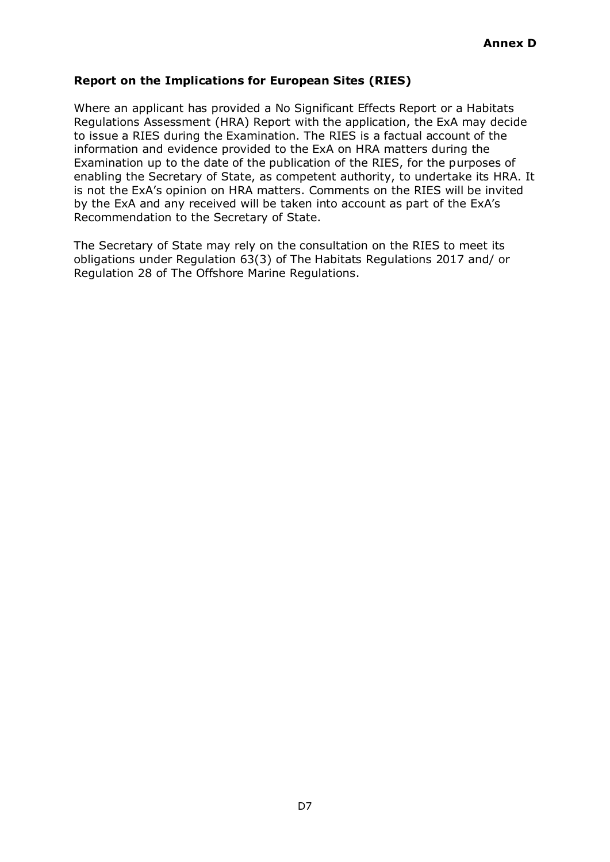## **Report on the Implications for European Sites (RIES)**

Where an applicant has provided a No Significant Effects Report or a Habitats Regulations Assessment (HRA) Report with the application, the ExA may decide to issue a RIES during the Examination. The RIES is a factual account of the information and evidence provided to the ExA on HRA matters during the Examination up to the date of the publication of the RIES, for the purposes of enabling the Secretary of State, as competent authority, to undertake its HRA. It is not the ExA's opinion on HRA matters. Comments on the RIES will be invited by the ExA and any received will be taken into account as part of the ExA's Recommendation to the Secretary of State.

The Secretary of State may rely on the consultation on the RIES to meet its obligations under Regulation 63(3) of The Habitats Regulations 2017 and/ or Regulation 28 of The Offshore Marine Regulations.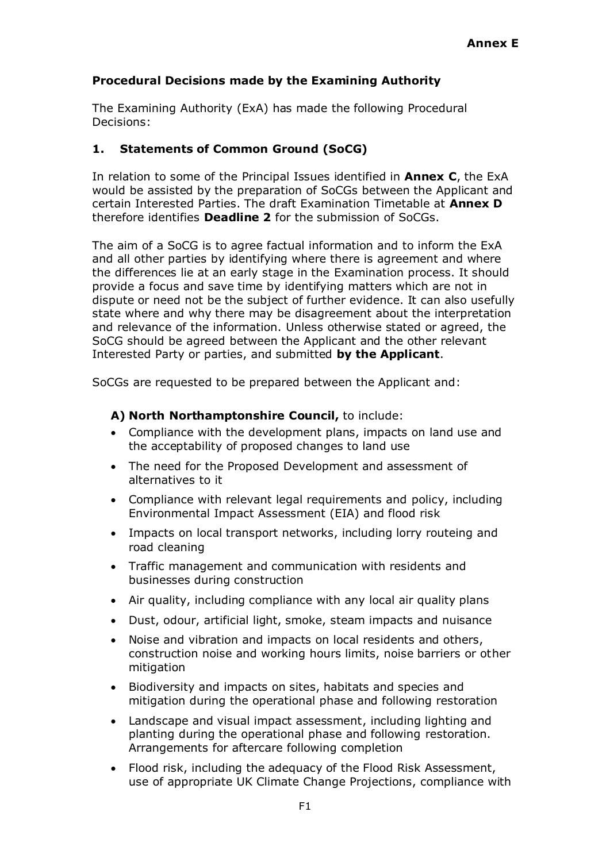### **Procedural Decisions made by the Examining Authority**

The Examining Authority (ExA) has made the following Procedural Decisions:

### **1. Statements of Common Ground (SoCG)**

In relation to some of the Principal Issues identified in **Annex C**, the ExA would be assisted by the preparation of SoCGs between the Applicant and certain Interested Parties. The draft Examination Timetable at **Annex D** therefore identifies **Deadline 2** for the submission of SoCGs.

The aim of a SoCG is to agree factual information and to inform the ExA and all other parties by identifying where there is agreement and where the differences lie at an early stage in the Examination process. It should provide a focus and save time by identifying matters which are not in dispute or need not be the subject of further evidence. It can also usefully state where and why there may be disagreement about the interpretation and relevance of the information. Unless otherwise stated or agreed, the SoCG should be agreed between the Applicant and the other relevant Interested Party or parties, and submitted **by the Applicant**.

SoCGs are requested to be prepared between the Applicant and:

### **A) North Northamptonshire Council,** to include:

- Compliance with the development plans, impacts on land use and the acceptability of proposed changes to land use
- The need for the Proposed Development and assessment of alternatives to it
- Compliance with relevant legal requirements and policy, including Environmental Impact Assessment (EIA) and flood risk
- Impacts on local transport networks, including lorry routeing and road cleaning
- Traffic management and communication with residents and businesses during construction
- Air quality, including compliance with any local air quality plans
- Dust, odour, artificial light, smoke, steam impacts and nuisance
- Noise and vibration and impacts on local residents and others, construction noise and working hours limits, noise barriers or other mitigation
- Biodiversity and impacts on sites, habitats and species and mitigation during the operational phase and following restoration
- Landscape and visual impact assessment, including lighting and planting during the operational phase and following restoration. Arrangements for aftercare following completion
- Flood risk, including the adequacy of the Flood Risk Assessment, use of appropriate UK Climate Change Projections, compliance with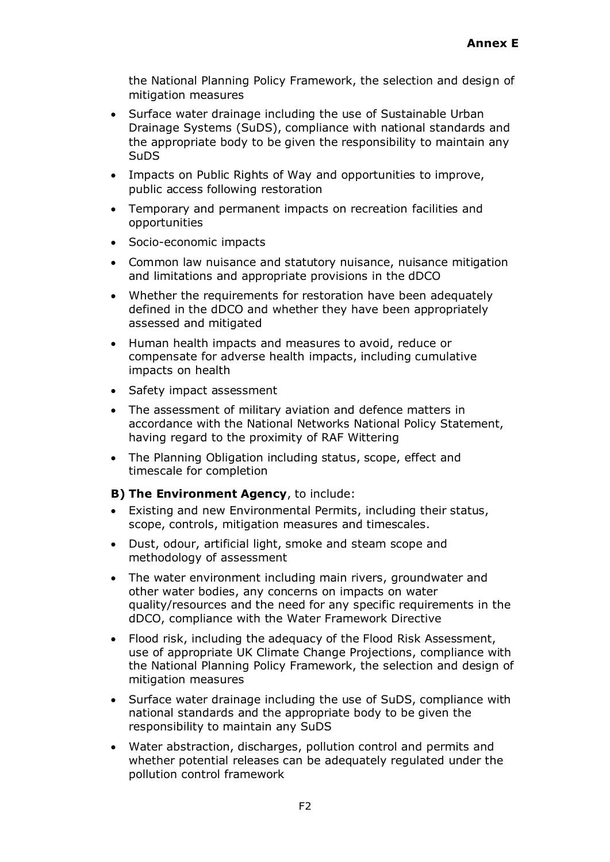the National Planning Policy Framework, the selection and design of mitigation measures

- Surface water drainage including the use of Sustainable Urban Drainage Systems (SuDS), compliance with national standards and the appropriate body to be given the responsibility to maintain any SuDS
- Impacts on Public Rights of Way and opportunities to improve, public access following restoration
- Temporary and permanent impacts on recreation facilities and opportunities
- Socio-economic impacts
- Common law nuisance and statutory nuisance, nuisance mitigation and limitations and appropriate provisions in the dDCO
- Whether the requirements for restoration have been adequately defined in the dDCO and whether they have been appropriately assessed and mitigated
- Human health impacts and measures to avoid, reduce or compensate for adverse health impacts, including cumulative impacts on health
- Safety impact assessment
- The assessment of military aviation and defence matters in accordance with the National Networks National Policy Statement, having regard to the proximity of RAF Wittering
- The Planning Obligation including status, scope, effect and timescale for completion

### **B) The Environment Agency**, to include:

- Existing and new Environmental Permits, including their status, scope, controls, mitigation measures and timescales.
- Dust, odour, artificial light, smoke and steam scope and methodology of assessment
- The water environment including main rivers, groundwater and other water bodies, any concerns on impacts on water quality/resources and the need for any specific requirements in the dDCO, compliance with the Water Framework Directive
- Flood risk, including the adequacy of the Flood Risk Assessment, use of appropriate UK Climate Change Projections, compliance with the National Planning Policy Framework, the selection and design of mitigation measures
- Surface water drainage including the use of SuDS, compliance with national standards and the appropriate body to be given the responsibility to maintain any SuDS
- Water abstraction, discharges, pollution control and permits and whether potential releases can be adequately regulated under the pollution control framework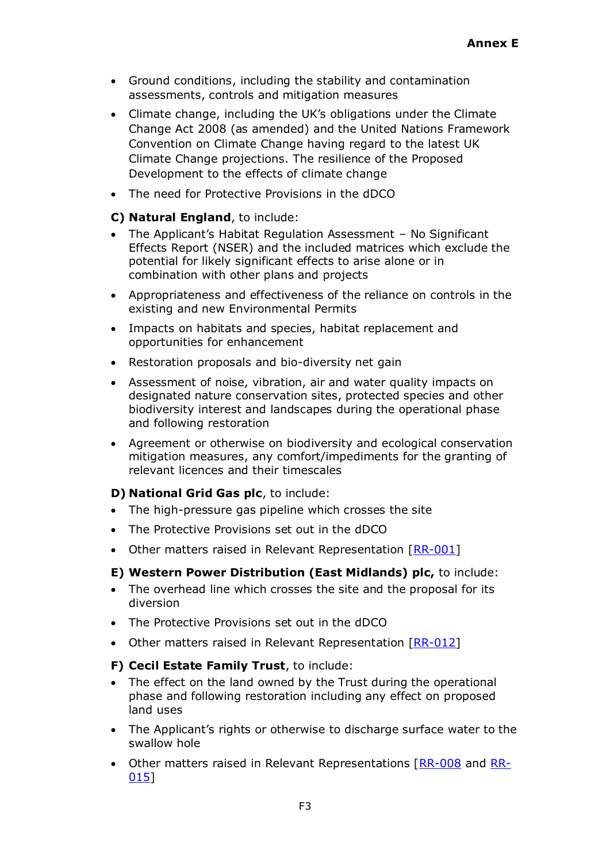- Ground conditions, including the stability and contamination assessments, controls and mitigation measures
- Climate change, including the UK's obligations under the Climate Change Act 2008 (as amended) and the United Nations Framework Convention on Climate Change having regard to the latest UK Climate Change projections. The resilience of the Proposed Development to the effects of climate change
- The need for Protective Provisions in the dDCO

### **C) Natural England**, to include:

- The Applicant's Habitat Regulation Assessment No Significant Effects Report (NSER) and the included matrices which exclude the potential for likely significant effects to arise alone or in combination with other plans and projects
- Appropriateness and effectiveness of the reliance on controls in the existing and new Environmental Permits
- Impacts on habitats and species, habitat replacement and opportunities for enhancement
- Restoration proposals and bio-diversity net gain
- Assessment of noise, vibration, air and water quality impacts on designated nature conservation sites, protected species and other biodiversity interest and landscapes during the operational phase and following restoration
- Agreement or otherwise on biodiversity and ecological conservation mitigation measures, any comfort/impediments for the granting of relevant licences and their timescales

#### **D) National Grid Gas plc**, to include:

- The high-pressure gas pipeline which crosses the site
- The Protective Provisions set out in the dDCO
- Other matters raised in Relevant Representation [\[RR-001\]](https://infrastructure.planninginspectorate.gov.uk/projects/east-midlands/east-northants-resource-management-facility-western-extension/?ipcsection=relreps&relrep=44464)

### **E) Western Power Distribution (East Midlands) plc,** to include:

- The overhead line which crosses the site and the proposal for its diversion
- The Protective Provisions set out in the dDCO
- Other matters raised in Relevant Representation [\[RR-012\]](https://infrastructure.planninginspectorate.gov.uk/projects/east-midlands/east-northants-resource-management-facility-western-extension/?ipcsection=relreps&relrep=44466)

### **F) Cecil Estate Family Trust**, to include:

- The effect on the land owned by the Trust during the operational phase and following restoration including any effect on proposed land uses
- The Applicant's rights or otherwise to discharge surface water to the swallow hole
- Other matters raised in Relevant Representations [\[RR-008](https://infrastructure.planninginspectorate.gov.uk/projects/east-midlands/east-northants-resource-management-facility-western-extension/?ipcsection=relreps&relrep=44470) and [RR-](https://infrastructure.planninginspectorate.gov.uk/projects/east-midlands/east-northants-resource-management-facility-western-extension/?ipcsection=relreps&relrep=44460)[015\]](https://infrastructure.planninginspectorate.gov.uk/projects/east-midlands/east-northants-resource-management-facility-western-extension/?ipcsection=relreps&relrep=44460)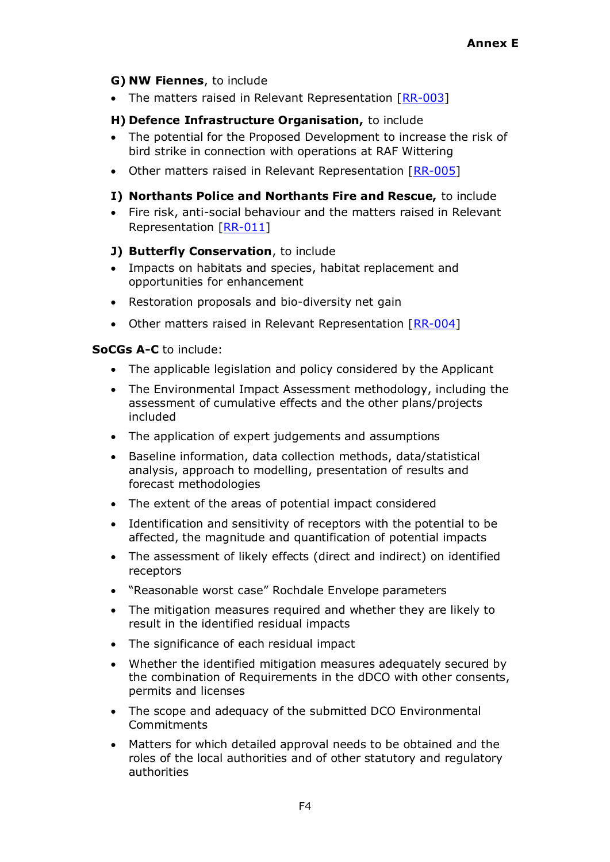### **G) NW Fiennes**, to include

• The matters raised in Relevant Representation [\[RR-003\]](https://infrastructure.planninginspectorate.gov.uk/projects/east-midlands/east-northants-resource-management-facility-western-extension/?ipcsection=relreps&relrep=44461)

## **H) Defence Infrastructure Organisation,** to include

- The potential for the Proposed Development to increase the risk of bird strike in connection with operations at RAF Wittering
- Other matters raised in Relevant Representation [\[RR-005\]](https://infrastructure.planninginspectorate.gov.uk/projects/east-midlands/east-northants-resource-management-facility-western-extension/?ipcsection=relreps&relrep=44471)

### **I) Northants Police and Northants Fire and Rescue,** to include

• Fire risk, anti-social behaviour and the matters raised in Relevant Representation [\[RR-011\]](https://infrastructure.planninginspectorate.gov.uk/projects/east-midlands/east-northants-resource-management-facility-western-extension/?ipcsection=relreps&relrep=44458)

### **J) Butterfly Conservation**, to include

- Impacts on habitats and species, habitat replacement and opportunities for enhancement
- Restoration proposals and bio-diversity net gain
- Other matters raised in Relevant Representation [\[RR-004\]](https://infrastructure.planninginspectorate.gov.uk/projects/east-midlands/east-northants-resource-management-facility-western-extension/?ipcsection=relreps&relrep=44473)

### **SoCGs A-C** to include:

- The applicable legislation and policy considered by the Applicant
- The Environmental Impact Assessment methodology, including the assessment of cumulative effects and the other plans/projects included
- The application of expert judgements and assumptions
- Baseline information, data collection methods, data/statistical analysis, approach to modelling, presentation of results and forecast methodologies
- The extent of the areas of potential impact considered
- Identification and sensitivity of receptors with the potential to be affected, the magnitude and quantification of potential impacts
- The assessment of likely effects (direct and indirect) on identified receptors
- "Reasonable worst case" Rochdale Envelope parameters
- The mitigation measures required and whether they are likely to result in the identified residual impacts
- The significance of each residual impact
- Whether the identified mitigation measures adequately secured by the combination of Requirements in the dDCO with other consents, permits and licenses
- The scope and adequacy of the submitted DCO Environmental **Commitments**
- Matters for which detailed approval needs to be obtained and the roles of the local authorities and of other statutory and regulatory authorities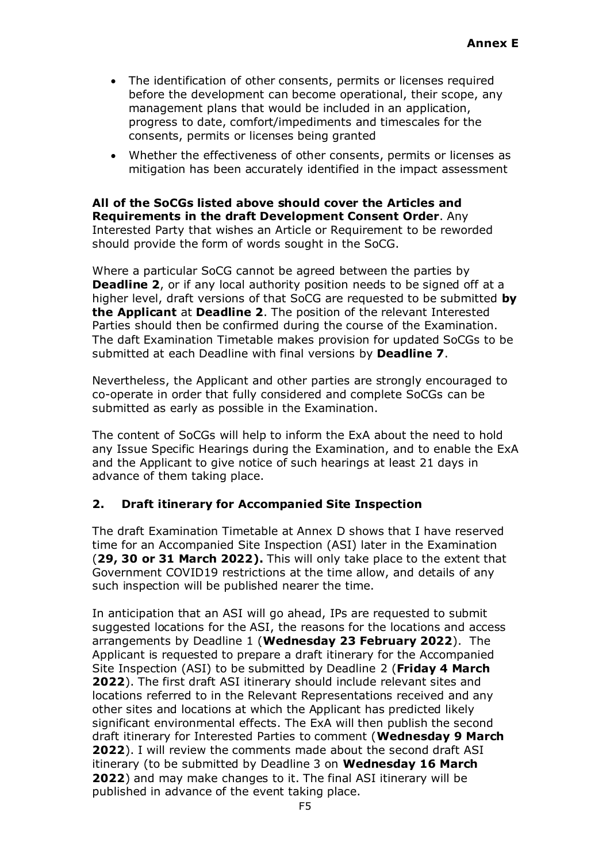- The identification of other consents, permits or licenses required before the development can become operational, their scope, any management plans that would be included in an application, progress to date, comfort/impediments and timescales for the consents, permits or licenses being granted
- Whether the effectiveness of other consents, permits or licenses as mitigation has been accurately identified in the impact assessment

**All of the SoCGs listed above should cover the Articles and Requirements in the draft Development Consent Order**. Any Interested Party that wishes an Article or Requirement to be reworded should provide the form of words sought in the SoCG.

Where a particular SoCG cannot be agreed between the parties by **Deadline 2**, or if any local authority position needs to be signed off at a higher level, draft versions of that SoCG are requested to be submitted **by the Applicant** at **Deadline 2**. The position of the relevant Interested Parties should then be confirmed during the course of the Examination. The daft Examination Timetable makes provision for updated SoCGs to be submitted at each Deadline with final versions by **Deadline 7**.

Nevertheless, the Applicant and other parties are strongly encouraged to co-operate in order that fully considered and complete SoCGs can be submitted as early as possible in the Examination.

The content of SoCGs will help to inform the ExA about the need to hold any Issue Specific Hearings during the Examination, and to enable the ExA and the Applicant to give notice of such hearings at least 21 days in advance of them taking place.

### **2. Draft itinerary for Accompanied Site Inspection**

The draft Examination Timetable at Annex D shows that I have reserved time for an Accompanied Site Inspection (ASI) later in the Examination (**29, 30 or 31 March 2022).** This will only take place to the extent that Government COVID19 restrictions at the time allow, and details of any such inspection will be published nearer the time.

In anticipation that an ASI will go ahead, IPs are requested to submit suggested locations for the ASI, the reasons for the locations and access arrangements by Deadline 1 (**Wednesday 23 February 2022**). The Applicant is requested to prepare a draft itinerary for the Accompanied Site Inspection (ASI) to be submitted by Deadline 2 (**Friday 4 March 2022**). The first draft ASI itinerary should include relevant sites and locations referred to in the Relevant Representations received and any other sites and locations at which the Applicant has predicted likely significant environmental effects. The ExA will then publish the second draft itinerary for Interested Parties to comment (**Wednesday 9 March 2022**). I will review the comments made about the second draft ASI itinerary (to be submitted by Deadline 3 on **Wednesday 16 March 2022**) and may make changes to it. The final ASI itinerary will be published in advance of the event taking place.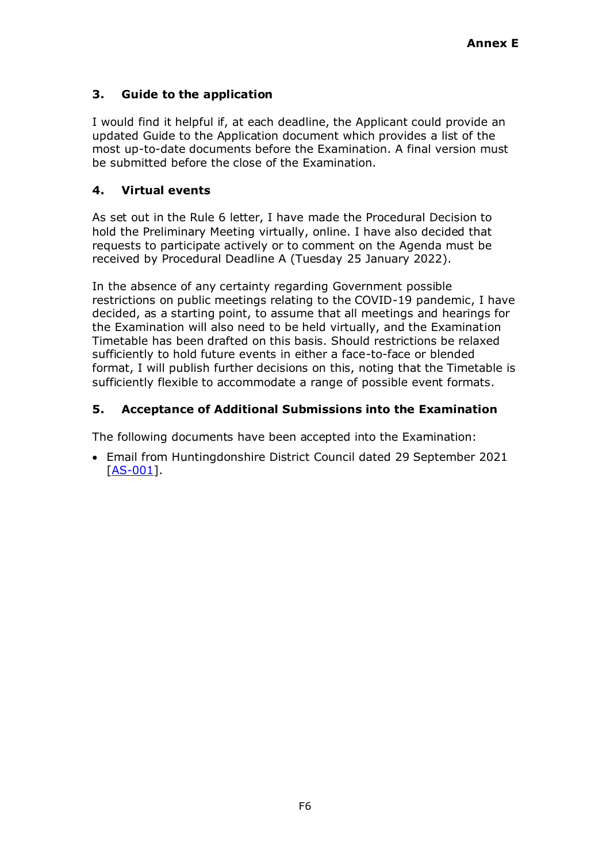## **3. Guide to the application**

I would find it helpful if, at each deadline, the Applicant could provide an updated Guide to the Application document which provides a list of the most up-to-date documents before the Examination. A final version must be submitted before the close of the Examination.

### **4. Virtual events**

As set out in the Rule 6 letter, I have made the Procedural Decision to hold the Preliminary Meeting virtually, online. I have also decided that requests to participate actively or to comment on the Agenda must be received by Procedural Deadline A (Tuesday 25 January 2022).

In the absence of any certainty regarding Government possible restrictions on public meetings relating to the COVID-19 pandemic, I have decided, as a starting point, to assume that all meetings and hearings for the Examination will also need to be held virtually, and the Examination Timetable has been drafted on this basis. Should restrictions be relaxed sufficiently to hold future events in either a face-to-face or blended format, I will publish further decisions on this, noting that the Timetable is sufficiently flexible to accommodate a range of possible event formats.

### **5. Acceptance of Additional Submissions into the Examination**

The following documents have been accepted into the Examination:

• Email from Huntingdonshire District Council dated 29 September 2021 [\[AS-001\]](https://infrastructure.planninginspectorate.gov.uk/wp-content/ipc/uploads/projects/WS010005/WS010005-000398-Huntingdonshire%20District%20Council%20Additional%20Submission%20-%2022%20Oct%202021.pdf).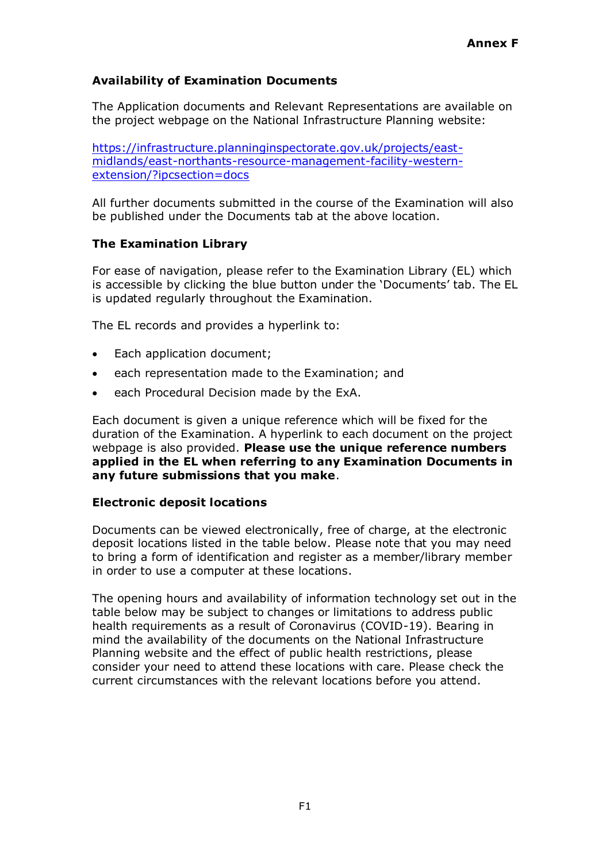## **Availability of Examination Documents**

The Application documents and Relevant Representations are available on the project webpage on the National Infrastructure Planning website:

[https://infrastructure.planninginspectorate.gov.uk/projects/east](https://infrastructure.planninginspectorate.gov.uk/projects/east-midlands/east-northants-resource-management-facility-western-extension/?ipcsection=docs)[midlands/east-northants-resource-management-facility-western](https://infrastructure.planninginspectorate.gov.uk/projects/east-midlands/east-northants-resource-management-facility-western-extension/?ipcsection=docs)[extension/?ipcsection=docs](https://infrastructure.planninginspectorate.gov.uk/projects/east-midlands/east-northants-resource-management-facility-western-extension/?ipcsection=docs)

All further documents submitted in the course of the Examination will also be published under the Documents tab at the above location.

### **The Examination Library**

For ease of navigation, please refer to the Examination Library (EL) which is accessible by clicking the blue button under the 'Documents' tab. The EL is updated regularly throughout the Examination.

The EL records and provides a hyperlink to:

- Each application document;
- each representation made to the Examination; and
- each Procedural Decision made by the ExA.

Each document is given a unique reference which will be fixed for the duration of the Examination. A hyperlink to each document on the project webpage is also provided. **Please use the unique reference numbers applied in the EL when referring to any Examination Documents in any future submissions that you make**.

#### **Electronic deposit locations**

Documents can be viewed electronically, free of charge, at the electronic deposit locations listed in the table below. Please note that you may need to bring a form of identification and register as a member/library member in order to use a computer at these locations.

The opening hours and availability of information technology set out in the table below may be subject to changes or limitations to address public health requirements as a result of Coronavirus (COVID-19). Bearing in mind the availability of the documents on the National Infrastructure Planning website and the effect of public health restrictions, please consider your need to attend these locations with care. Please check the current circumstances with the relevant locations before you attend.